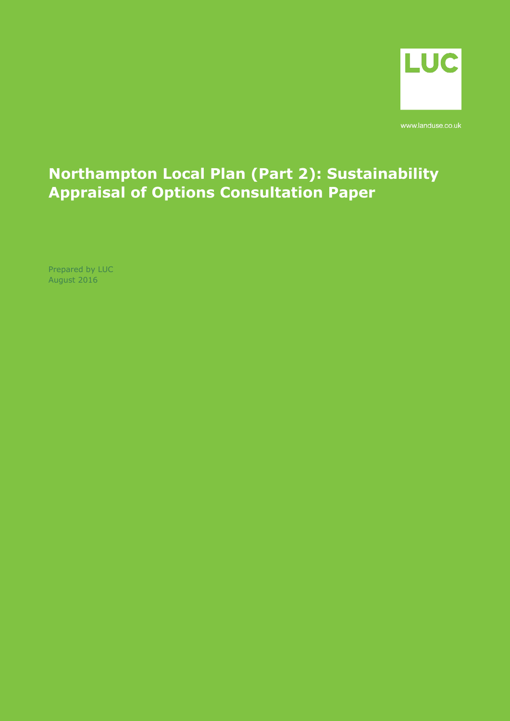

www.landuse.co.uk

# **Northampton Local Plan (Part 2): Sustainability Appraisal of Options Consultation Paper**

Prepared by LUC August 2016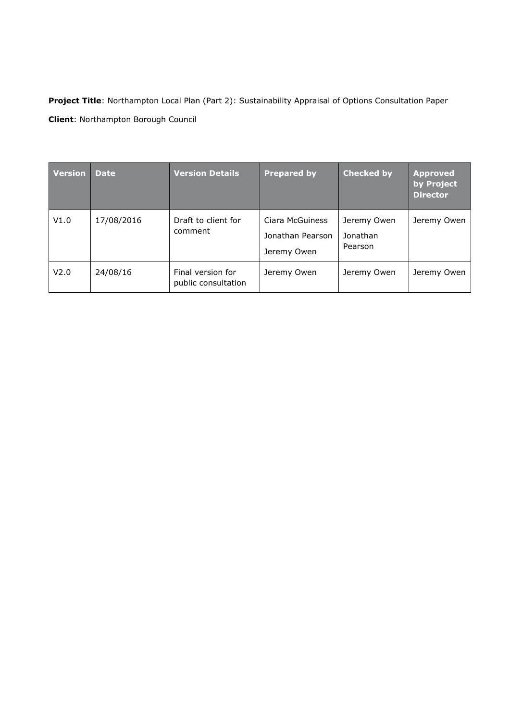**Project Title**: Northampton Local Plan (Part 2): Sustainability Appraisal of Options Consultation Paper **Client**: Northampton Borough Council

| <b>Version</b> | <b>Date</b> | <b>Version Details</b>                   | <b>Prepared by</b>                                 | <b>Checked by</b>                  | <b>Approved</b><br>by Project<br><b>Director</b> |
|----------------|-------------|------------------------------------------|----------------------------------------------------|------------------------------------|--------------------------------------------------|
| V1.0           | 17/08/2016  | Draft to client for<br>comment           | Ciara McGuiness<br>Jonathan Pearson<br>Jeremy Owen | Jeremy Owen<br>Jonathan<br>Pearson | Jeremy Owen                                      |
| V2.0           | 24/08/16    | Final version for<br>public consultation | Jeremy Owen                                        | Jeremy Owen                        | Jeremy Owen                                      |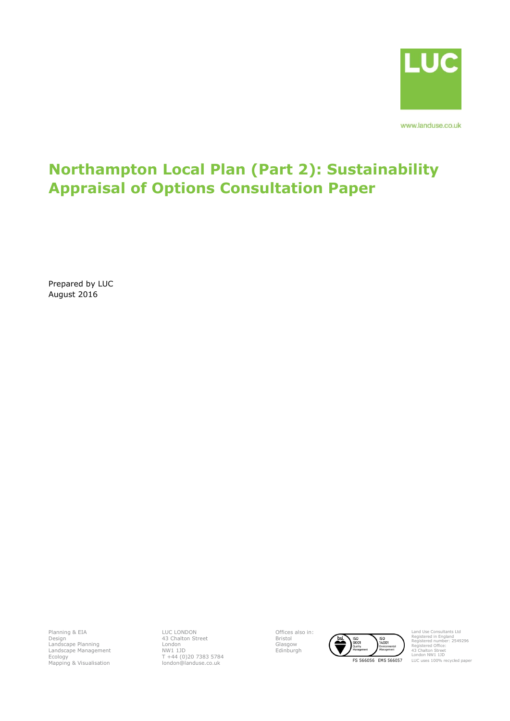

www.landuse.co.uk

# **Northampton Local Plan (Part 2): Sustainability Appraisal of Options Consultation Paper**

Prepared by LUC August 2016

Planning & EIA Design Landscape Planning Landscape Management Ecology Mapping & Visualisation LUC LONDON 43 Chalton Street London NW1 1JD T +44 (0)20 7383 5784 london@landuse.co.uk Offices also in: Bristol Glasgow Edinburgh



Land Use Consultants Ltd Registered in England Registered number: 2549296 Registered Office: 43 Chalton Street London NW1 1JD LUC uses 100% recycled paper

FS 566056 EMS 566057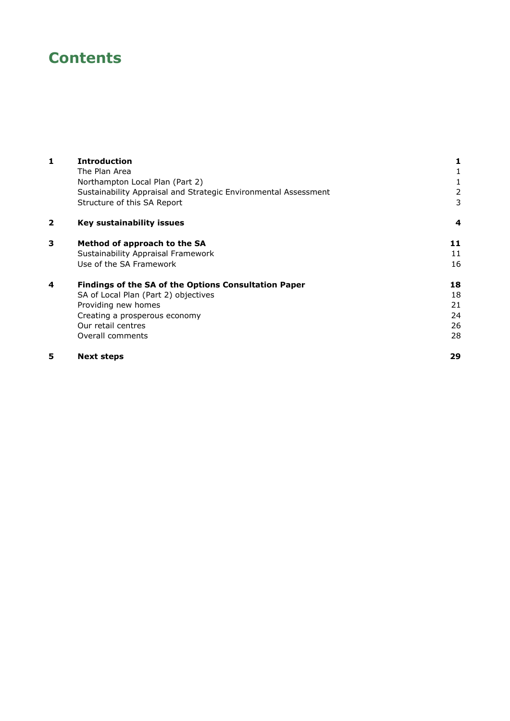# **Contents**

| 1 | <b>Introduction</b>                                             |    |
|---|-----------------------------------------------------------------|----|
|   | The Plan Area                                                   |    |
|   | Northampton Local Plan (Part 2)                                 |    |
|   | Sustainability Appraisal and Strategic Environmental Assessment | 2  |
|   | Structure of this SA Report                                     | 3  |
| 2 | Key sustainability issues                                       | 4  |
| 3 | Method of approach to the SA                                    | 11 |
|   | Sustainability Appraisal Framework                              | 11 |
|   | Use of the SA Framework                                         | 16 |
| 4 | <b>Findings of the SA of the Options Consultation Paper</b>     | 18 |
|   | SA of Local Plan (Part 2) objectives                            | 18 |
|   | Providing new homes                                             | 21 |
|   | Creating a prosperous economy                                   | 24 |
|   | Our retail centres                                              | 26 |
|   | Overall comments                                                | 28 |
| 5 | <b>Next steps</b>                                               | 29 |
|   |                                                                 |    |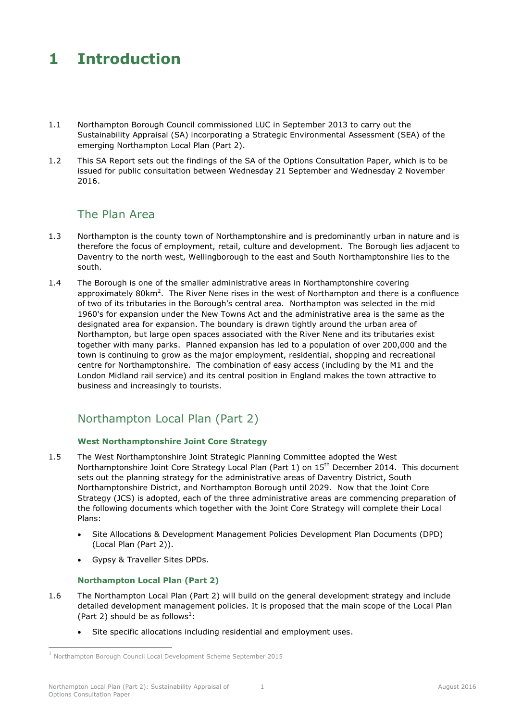# <span id="page-5-0"></span>**1 Introduction**

- 1.1 Northampton Borough Council commissioned LUC in September 2013 to carry out the Sustainability Appraisal (SA) incorporating a Strategic Environmental Assessment (SEA) of the emerging Northampton Local Plan (Part 2).
- <span id="page-5-1"></span>1.2 This SA Report sets out the findings of the SA of the Options Consultation Paper, which is to be issued for public consultation between Wednesday 21 September and Wednesday 2 November 2016.

## The Plan Area

- 1.3 Northampton is the county town of Northamptonshire and is predominantly urban in nature and is therefore the focus of employment, retail, culture and development. The Borough lies adjacent to Daventry to the north west, Wellingborough to the east and South Northamptonshire lies to the south.
- 1.4 The Borough is one of the smaller administrative areas in Northamptonshire covering approximately  $80$ km<sup>2</sup>. The River Nene rises in the west of Northampton and there is a confluence of two of its tributaries in the Borough's central area. Northampton was selected in the mid 1960's for expansion under the New Towns Act and the administrative area is the same as the designated area for expansion. The boundary is drawn tightly around the urban area of Northampton, but large open spaces associated with the River Nene and its tributaries exist together with many parks. Planned expansion has led to a population of over 200,000 and the town is continuing to grow as the major employment, residential, shopping and recreational centre for Northamptonshire. The combination of easy access (including by the M1 and the London Midland rail service) and its central position in England makes the town attractive to business and increasingly to tourists.

## <span id="page-5-2"></span>Northampton Local Plan (Part 2)

### **West Northamptonshire Joint Core Strategy**

- 1.5 The West Northamptonshire Joint Strategic Planning Committee adopted the West Northamptonshire Joint Core Strategy Local Plan (Part 1) on 15<sup>th</sup> December 2014. This document sets out the planning strategy for the administrative areas of Daventry District, South Northamptonshire District, and Northampton Borough until 2029. Now that the Joint Core Strategy (JCS) is adopted, each of the three administrative areas are commencing preparation of the following documents which together with the Joint Core Strategy will complete their Local Plans:
	- Site Allocations & Development Management Policies Development Plan Documents (DPD) (Local Plan (Part 2)).
	- Gypsy & Traveller Sites DPDs.

### **Northampton Local Plan (Part 2)**

- 1.6 The Northampton Local Plan (Part 2) will build on the general development strategy and include detailed development management policies. It is proposed that the main scope of the Local Plan (Part 2) should be as follows<sup>1</sup>:
	- Site specific allocations including residential and employment uses.

-

<sup>1</sup> Northampton Borough Council Local Development Scheme September 2015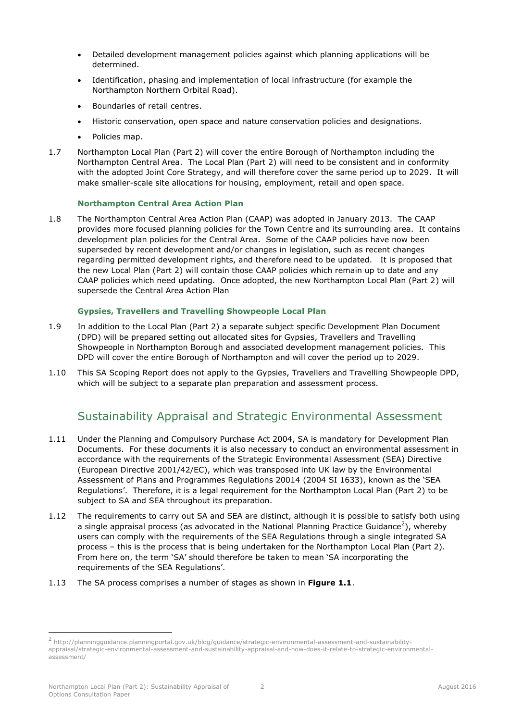- Detailed development management policies against which planning applications will be determined.
- Identification, phasing and implementation of local infrastructure (for example the Northampton Northern Orbital Road).
- Boundaries of retail centres.
- Historic conservation, open space and nature conservation policies and designations.
- Policies map.
- 1.7 Northampton Local Plan (Part 2) will cover the entire Borough of Northampton including the Northampton Central Area. The Local Plan (Part 2) will need to be consistent and in conformity with the adopted Joint Core Strategy, and will therefore cover the same period up to 2029. It will make smaller-scale site allocations for housing, employment, retail and open space.

### **Northampton Central Area Action Plan**

1.8 The Northampton Central Area Action Plan (CAAP) was adopted in January 2013. The CAAP provides more focused planning policies for the Town Centre and its surrounding area. It contains development plan policies for the Central Area. Some of the CAAP policies have now been superseded by recent development and/or changes in legislation, such as recent changes regarding permitted development rights, and therefore need to be updated. It is proposed that the new Local Plan (Part 2) will contain those CAAP policies which remain up to date and any CAAP policies which need updating. Once adopted, the new Northampton Local Plan (Part 2) will supersede the Central Area Action Plan

#### **Gypsies, Travellers and Travelling Showpeople Local Plan**

- 1.9 In addition to the Local Plan (Part 2) a separate subject specific Development Plan Document (DPD) will be prepared setting out allocated sites for Gypsies, Travellers and Travelling Showpeople in Northampton Borough and associated development management policies. This DPD will cover the entire Borough of Northampton and will cover the period up to 2029.
- <span id="page-6-0"></span>1.10 This SA Scoping Report does not apply to the Gypsies, Travellers and Travelling Showpeople DPD, which will be subject to a separate plan preparation and assessment process.

## Sustainability Appraisal and Strategic Environmental Assessment

- 1.11 Under the Planning and Compulsory Purchase Act 2004, SA is mandatory for Development Plan Documents. For these documents it is also necessary to conduct an environmental assessment in accordance with the requirements of the Strategic Environmental Assessment (SEA) Directive (European Directive 2001/42/EC), which was transposed into UK law by the Environmental Assessment of Plans and Programmes Regulations 20014 (2004 SI 1633), known as the 'SEA Regulations'. Therefore, it is a legal requirement for the Northampton Local Plan (Part 2) to be subject to SA and SEA throughout its preparation.
- 1.12 The requirements to carry out SA and SEA are distinct, although it is possible to satisfy both using a single appraisal process (as advocated in the National Planning Practice Guidance<sup>2</sup>), whereby users can comply with the requirements of the SEA Regulations through a single integrated SA process – this is the process that is being undertaken for the Northampton Local Plan (Part 2). From here on, the term 'SA' should therefore be taken to mean 'SA incorporating the requirements of the SEA Regulations'.
- 1.13 The SA process comprises a number of stages as shown in **[Figure 1.1](#page-7-1)**.

-

<sup>2</sup> http://planningguidance.planningportal.gov.uk/blog/guidance/strategic-environmental-assessment-and-sustainabilityappraisal/strategic-environmental-assessment-and-sustainability-appraisal-and-how-does-it-relate-to-strategic-environmentalassessment/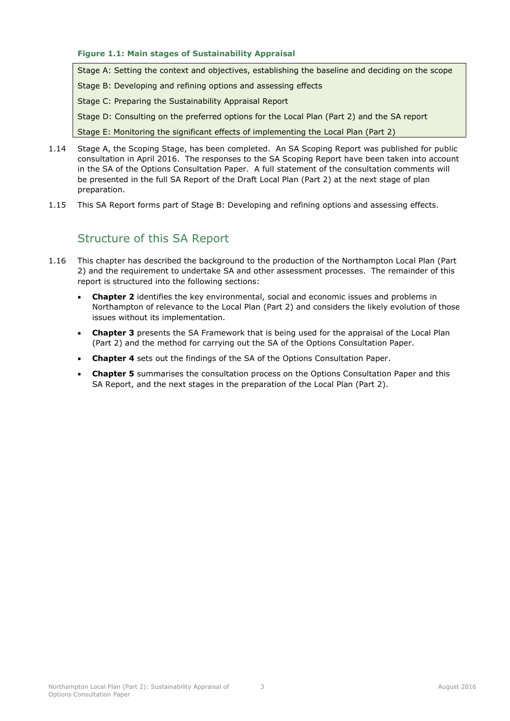#### <span id="page-7-1"></span>**Figure 1.1: Main stages of Sustainability Appraisal**

Stage A: Setting the context and objectives, establishing the baseline and deciding on the scope

Stage B: Developing and refining options and assessing effects

Stage C: Preparing the Sustainability Appraisal Report

Stage D: Consulting on the preferred options for the Local Plan (Part 2) and the SA report

Stage E: Monitoring the significant effects of implementing the Local Plan (Part 2)

- 1.14 Stage A, the Scoping Stage, has been completed. An SA Scoping Report was published for public consultation in April 2016. The responses to the SA Scoping Report have been taken into account in the SA of the Options Consultation Paper. A full statement of the consultation comments will be presented in the full SA Report of the Draft Local Plan (Part 2) at the next stage of plan preparation.
- <span id="page-7-0"></span>1.15 This SA Report forms part of Stage B: Developing and refining options and assessing effects.

## Structure of this SA Report

- 1.16 This chapter has described the background to the production of the Northampton Local Plan (Part 2) and the requirement to undertake SA and other assessment processes. The remainder of this report is structured into the following sections:
	- **Chapter 2** identifies the key environmental, social and economic issues and problems in Northampton of relevance to the Local Plan (Part 2) and considers the likely evolution of those issues without its implementation.
	- **Chapter 3** presents the SA Framework that is being used for the appraisal of the Local Plan (Part 2) and the method for carrying out the SA of the Options Consultation Paper.
	- **Chapter 4** sets out the findings of the SA of the Options Consultation Paper.
	- **Chapter 5** summarises the consultation process on the Options Consultation Paper and this SA Report, and the next stages in the preparation of the Local Plan (Part 2).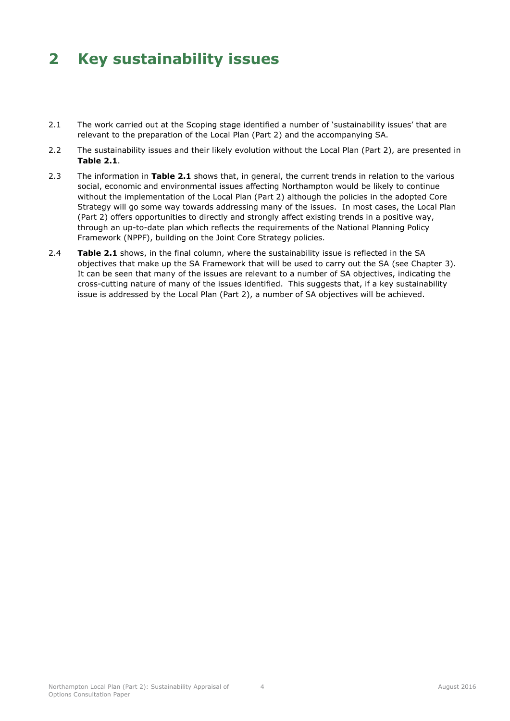# <span id="page-8-0"></span>**2 Key sustainability issues**

- 2.1 The work carried out at the Scoping stage identified a number of 'sustainability issues' that are relevant to the preparation of the Local Plan (Part 2) and the accompanying SA.
- 2.2 The sustainability issues and their likely evolution without the Local Plan (Part 2), are presented in **[Table 2.1](#page-9-0)**.
- 2.3 The information in **[Table 2.1](#page-9-0)** shows that, in general, the current trends in relation to the various social, economic and environmental issues affecting Northampton would be likely to continue without the implementation of the Local Plan (Part 2) although the policies in the adopted Core Strategy will go some way towards addressing many of the issues. In most cases, the Local Plan (Part 2) offers opportunities to directly and strongly affect existing trends in a positive way, through an up-to-date plan which reflects the requirements of the National Planning Policy Framework (NPPF), building on the Joint Core Strategy policies.
- 2.4 **[Table 2.1](#page-9-0)** shows, in the final column, where the sustainability issue is reflected in the SA objectives that make up the SA Framework that will be used to carry out the SA (see Chapter 3). It can be seen that many of the issues are relevant to a number of SA objectives, indicating the cross-cutting nature of many of the issues identified. This suggests that, if a key sustainability issue is addressed by the Local Plan (Part 2), a number of SA objectives will be achieved.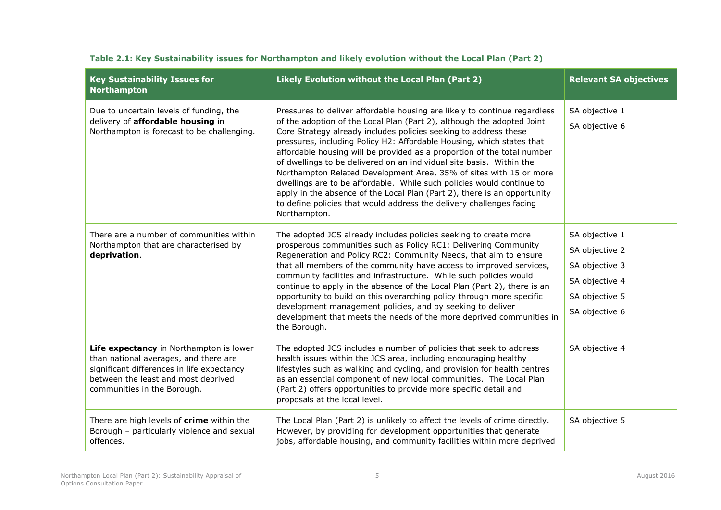<span id="page-9-0"></span>

| <b>Key Sustainability Issues for</b><br><b>Northampton</b>                                                                                                                                           | Likely Evolution without the Local Plan (Part 2)                                                                                                                                                                                                                                                                                                                                                                                                                                                                                                                                                                                                                                                                                                                       | <b>Relevant SA objectives</b>                                                                            |
|------------------------------------------------------------------------------------------------------------------------------------------------------------------------------------------------------|------------------------------------------------------------------------------------------------------------------------------------------------------------------------------------------------------------------------------------------------------------------------------------------------------------------------------------------------------------------------------------------------------------------------------------------------------------------------------------------------------------------------------------------------------------------------------------------------------------------------------------------------------------------------------------------------------------------------------------------------------------------------|----------------------------------------------------------------------------------------------------------|
| Due to uncertain levels of funding, the<br>delivery of affordable housing in<br>Northampton is forecast to be challenging.                                                                           | Pressures to deliver affordable housing are likely to continue regardless<br>of the adoption of the Local Plan (Part 2), although the adopted Joint<br>Core Strategy already includes policies seeking to address these<br>pressures, including Policy H2: Affordable Housing, which states that<br>affordable housing will be provided as a proportion of the total number<br>of dwellings to be delivered on an individual site basis. Within the<br>Northampton Related Development Area, 35% of sites with 15 or more<br>dwellings are to be affordable. While such policies would continue to<br>apply in the absence of the Local Plan (Part 2), there is an opportunity<br>to define policies that would address the delivery challenges facing<br>Northampton. | SA objective 1<br>SA objective 6                                                                         |
| There are a number of communities within<br>Northampton that are characterised by<br>deprivation.                                                                                                    | The adopted JCS already includes policies seeking to create more<br>prosperous communities such as Policy RC1: Delivering Community<br>Regeneration and Policy RC2: Community Needs, that aim to ensure<br>that all members of the community have access to improved services,<br>community facilities and infrastructure. While such policies would<br>continue to apply in the absence of the Local Plan (Part 2), there is an<br>opportunity to build on this overarching policy through more specific<br>development management policies, and by seeking to deliver<br>development that meets the needs of the more deprived communities in<br>the Borough.                                                                                                        | SA objective 1<br>SA objective 2<br>SA objective 3<br>SA objective 4<br>SA objective 5<br>SA objective 6 |
| Life expectancy in Northampton is lower<br>than national averages, and there are<br>significant differences in life expectancy<br>between the least and most deprived<br>communities in the Borough. | The adopted JCS includes a number of policies that seek to address<br>health issues within the JCS area, including encouraging healthy<br>lifestyles such as walking and cycling, and provision for health centres<br>as an essential component of new local communities. The Local Plan<br>(Part 2) offers opportunities to provide more specific detail and<br>proposals at the local level.                                                                                                                                                                                                                                                                                                                                                                         | SA objective 4                                                                                           |
| There are high levels of crime within the<br>Borough - particularly violence and sexual<br>offences.                                                                                                 | The Local Plan (Part 2) is unlikely to affect the levels of crime directly.<br>However, by providing for development opportunities that generate<br>jobs, affordable housing, and community facilities within more deprived                                                                                                                                                                                                                                                                                                                                                                                                                                                                                                                                            | SA objective 5                                                                                           |

### **Table 2.1: Key Sustainability issues for Northampton and likely evolution without the Local Plan (Part 2)**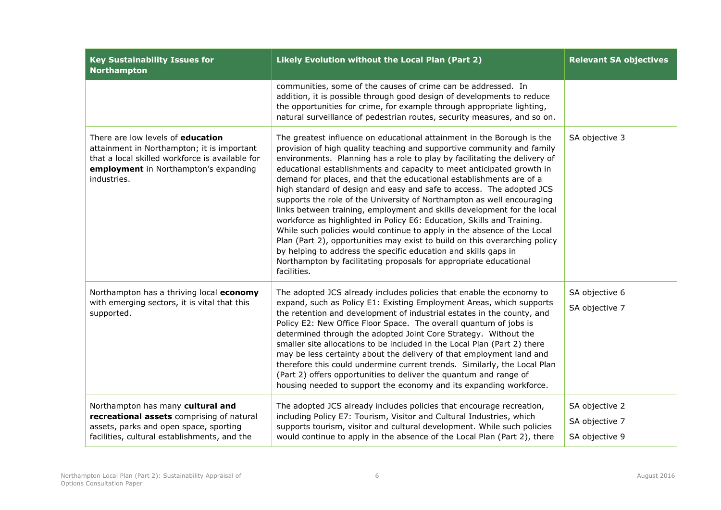| <b>Key Sustainability Issues for</b><br><b>Northampton</b>                                                                                                                                        | Likely Evolution without the Local Plan (Part 2)                                                                                                                                                                                                                                                                                                                                                                                                                                                                                                                                                                                                                                                                                                                                                                                                                                                                                                                                                     | <b>Relevant SA objectives</b>                      |
|---------------------------------------------------------------------------------------------------------------------------------------------------------------------------------------------------|------------------------------------------------------------------------------------------------------------------------------------------------------------------------------------------------------------------------------------------------------------------------------------------------------------------------------------------------------------------------------------------------------------------------------------------------------------------------------------------------------------------------------------------------------------------------------------------------------------------------------------------------------------------------------------------------------------------------------------------------------------------------------------------------------------------------------------------------------------------------------------------------------------------------------------------------------------------------------------------------------|----------------------------------------------------|
|                                                                                                                                                                                                   | communities, some of the causes of crime can be addressed. In<br>addition, it is possible through good design of developments to reduce<br>the opportunities for crime, for example through appropriate lighting,<br>natural surveillance of pedestrian routes, security measures, and so on.                                                                                                                                                                                                                                                                                                                                                                                                                                                                                                                                                                                                                                                                                                        |                                                    |
| There are low levels of <b>education</b><br>attainment in Northampton; it is important<br>that a local skilled workforce is available for<br>employment in Northampton's expanding<br>industries. | The greatest influence on educational attainment in the Borough is the<br>provision of high quality teaching and supportive community and family<br>environments. Planning has a role to play by facilitating the delivery of<br>educational establishments and capacity to meet anticipated growth in<br>demand for places, and that the educational establishments are of a<br>high standard of design and easy and safe to access. The adopted JCS<br>supports the role of the University of Northampton as well encouraging<br>links between training, employment and skills development for the local<br>workforce as highlighted in Policy E6: Education, Skills and Training.<br>While such policies would continue to apply in the absence of the Local<br>Plan (Part 2), opportunities may exist to build on this overarching policy<br>by helping to address the specific education and skills gaps in<br>Northampton by facilitating proposals for appropriate educational<br>facilities. | SA objective 3                                     |
| Northampton has a thriving local economy<br>with emerging sectors, it is vital that this<br>supported.                                                                                            | The adopted JCS already includes policies that enable the economy to<br>expand, such as Policy E1: Existing Employment Areas, which supports<br>the retention and development of industrial estates in the county, and<br>Policy E2: New Office Floor Space. The overall quantum of jobs is<br>determined through the adopted Joint Core Strategy. Without the<br>smaller site allocations to be included in the Local Plan (Part 2) there<br>may be less certainty about the delivery of that employment land and<br>therefore this could undermine current trends. Similarly, the Local Plan<br>(Part 2) offers opportunities to deliver the quantum and range of<br>housing needed to support the economy and its expanding workforce.                                                                                                                                                                                                                                                            | SA objective 6<br>SA objective 7                   |
| Northampton has many cultural and<br>recreational assets comprising of natural<br>assets, parks and open space, sporting<br>facilities, cultural establishments, and the                          | The adopted JCS already includes policies that encourage recreation,<br>including Policy E7: Tourism, Visitor and Cultural Industries, which<br>supports tourism, visitor and cultural development. While such policies<br>would continue to apply in the absence of the Local Plan (Part 2), there                                                                                                                                                                                                                                                                                                                                                                                                                                                                                                                                                                                                                                                                                                  | SA objective 2<br>SA objective 7<br>SA objective 9 |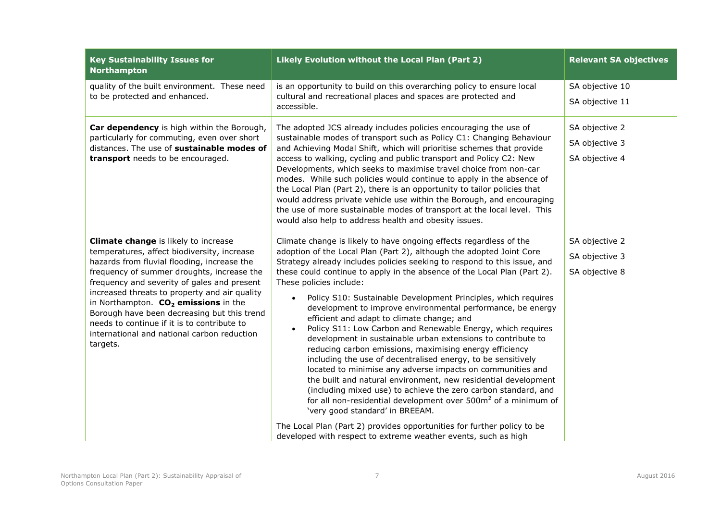| <b>Key Sustainability Issues for</b><br><b>Northampton</b>                                                                                                                                                                                                                                                                                                                                                                                                                          | Likely Evolution without the Local Plan (Part 2)                                                                                                                                                                                                                                                                                                                                                                                                                                                                                                                                                                                                                                                                                                                                                                                                                                                                                                                                                                                                                                                                                                                                                                                                                 | <b>Relevant SA objectives</b>                      |
|-------------------------------------------------------------------------------------------------------------------------------------------------------------------------------------------------------------------------------------------------------------------------------------------------------------------------------------------------------------------------------------------------------------------------------------------------------------------------------------|------------------------------------------------------------------------------------------------------------------------------------------------------------------------------------------------------------------------------------------------------------------------------------------------------------------------------------------------------------------------------------------------------------------------------------------------------------------------------------------------------------------------------------------------------------------------------------------------------------------------------------------------------------------------------------------------------------------------------------------------------------------------------------------------------------------------------------------------------------------------------------------------------------------------------------------------------------------------------------------------------------------------------------------------------------------------------------------------------------------------------------------------------------------------------------------------------------------------------------------------------------------|----------------------------------------------------|
| quality of the built environment. These need<br>to be protected and enhanced.                                                                                                                                                                                                                                                                                                                                                                                                       | is an opportunity to build on this overarching policy to ensure local<br>cultural and recreational places and spaces are protected and<br>accessible.                                                                                                                                                                                                                                                                                                                                                                                                                                                                                                                                                                                                                                                                                                                                                                                                                                                                                                                                                                                                                                                                                                            | SA objective 10<br>SA objective 11                 |
| Car dependency is high within the Borough,<br>particularly for commuting, even over short<br>distances. The use of sustainable modes of<br>transport needs to be encouraged.                                                                                                                                                                                                                                                                                                        | The adopted JCS already includes policies encouraging the use of<br>sustainable modes of transport such as Policy C1: Changing Behaviour<br>and Achieving Modal Shift, which will prioritise schemes that provide<br>access to walking, cycling and public transport and Policy C2: New<br>Developments, which seeks to maximise travel choice from non-car<br>modes. While such policies would continue to apply in the absence of<br>the Local Plan (Part 2), there is an opportunity to tailor policies that<br>would address private vehicle use within the Borough, and encouraging<br>the use of more sustainable modes of transport at the local level. This<br>would also help to address health and obesity issues.                                                                                                                                                                                                                                                                                                                                                                                                                                                                                                                                     | SA objective 2<br>SA objective 3<br>SA objective 4 |
| Climate change is likely to increase<br>temperatures, affect biodiversity, increase<br>hazards from fluvial flooding, increase the<br>frequency of summer droughts, increase the<br>frequency and severity of gales and present<br>increased threats to property and air quality<br>in Northampton. $CO2$ emissions in the<br>Borough have been decreasing but this trend<br>needs to continue if it is to contribute to<br>international and national carbon reduction<br>targets. | Climate change is likely to have ongoing effects regardless of the<br>adoption of the Local Plan (Part 2), although the adopted Joint Core<br>Strategy already includes policies seeking to respond to this issue, and<br>these could continue to apply in the absence of the Local Plan (Part 2).<br>These policies include:<br>Policy S10: Sustainable Development Principles, which requires<br>$\bullet$<br>development to improve environmental performance, be energy<br>efficient and adapt to climate change; and<br>Policy S11: Low Carbon and Renewable Energy, which requires<br>$\bullet$<br>development in sustainable urban extensions to contribute to<br>reducing carbon emissions, maximising energy efficiency<br>including the use of decentralised energy, to be sensitively<br>located to minimise any adverse impacts on communities and<br>the built and natural environment, new residential development<br>(including mixed use) to achieve the zero carbon standard, and<br>for all non-residential development over 500m <sup>2</sup> of a minimum of<br>'very good standard' in BREEAM.<br>The Local Plan (Part 2) provides opportunities for further policy to be<br>developed with respect to extreme weather events, such as high | SA objective 2<br>SA objective 3<br>SA objective 8 |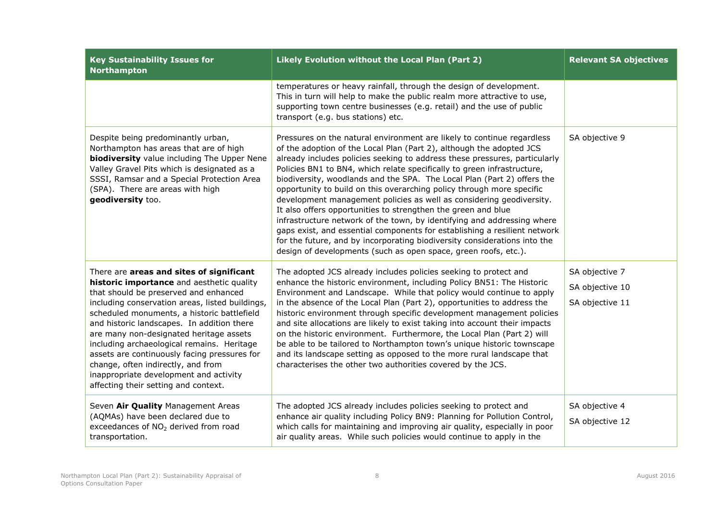| <b>Key Sustainability Issues for</b><br><b>Northampton</b>                                                                                                                                                                                                                                                                                                                                                                                                                                                                                      | Likely Evolution without the Local Plan (Part 2)                                                                                                                                                                                                                                                                                                                                                                                                                                                                                                                                                                                                                                                                                                                                                                                                                                                             | <b>Relevant SA objectives</b>                        |
|-------------------------------------------------------------------------------------------------------------------------------------------------------------------------------------------------------------------------------------------------------------------------------------------------------------------------------------------------------------------------------------------------------------------------------------------------------------------------------------------------------------------------------------------------|--------------------------------------------------------------------------------------------------------------------------------------------------------------------------------------------------------------------------------------------------------------------------------------------------------------------------------------------------------------------------------------------------------------------------------------------------------------------------------------------------------------------------------------------------------------------------------------------------------------------------------------------------------------------------------------------------------------------------------------------------------------------------------------------------------------------------------------------------------------------------------------------------------------|------------------------------------------------------|
|                                                                                                                                                                                                                                                                                                                                                                                                                                                                                                                                                 | temperatures or heavy rainfall, through the design of development.<br>This in turn will help to make the public realm more attractive to use,<br>supporting town centre businesses (e.g. retail) and the use of public<br>transport (e.g. bus stations) etc.                                                                                                                                                                                                                                                                                                                                                                                                                                                                                                                                                                                                                                                 |                                                      |
| Despite being predominantly urban,<br>Northampton has areas that are of high<br><b>biodiversity</b> value including The Upper Nene<br>Valley Gravel Pits which is designated as a<br>SSSI, Ramsar and a Special Protection Area<br>(SPA). There are areas with high<br>geodiversity too.                                                                                                                                                                                                                                                        | Pressures on the natural environment are likely to continue regardless<br>of the adoption of the Local Plan (Part 2), although the adopted JCS<br>already includes policies seeking to address these pressures, particularly<br>Policies BN1 to BN4, which relate specifically to green infrastructure,<br>biodiversity, woodlands and the SPA. The Local Plan (Part 2) offers the<br>opportunity to build on this overarching policy through more specific<br>development management policies as well as considering geodiversity.<br>It also offers opportunities to strengthen the green and blue<br>infrastructure network of the town, by identifying and addressing where<br>gaps exist, and essential components for establishing a resilient network<br>for the future, and by incorporating biodiversity considerations into the<br>design of developments (such as open space, green roofs, etc.). | SA objective 9                                       |
| There are areas and sites of significant<br>historic importance and aesthetic quality<br>that should be preserved and enhanced<br>including conservation areas, listed buildings,<br>scheduled monuments, a historic battlefield<br>and historic landscapes. In addition there<br>are many non-designated heritage assets<br>including archaeological remains. Heritage<br>assets are continuously facing pressures for<br>change, often indirectly, and from<br>inappropriate development and activity<br>affecting their setting and context. | The adopted JCS already includes policies seeking to protect and<br>enhance the historic environment, including Policy BN51: The Historic<br>Environment and Landscape. While that policy would continue to apply<br>in the absence of the Local Plan (Part 2), opportunities to address the<br>historic environment through specific development management policies<br>and site allocations are likely to exist taking into account their impacts<br>on the historic environment. Furthermore, the Local Plan (Part 2) will<br>be able to be tailored to Northampton town's unique historic townscape<br>and its landscape setting as opposed to the more rural landscape that<br>characterises the other two authorities covered by the JCS.                                                                                                                                                              | SA objective 7<br>SA objective 10<br>SA objective 11 |
| Seven Air Quality Management Areas<br>(AQMAs) have been declared due to<br>exceedances of NO <sub>2</sub> derived from road<br>transportation.                                                                                                                                                                                                                                                                                                                                                                                                  | The adopted JCS already includes policies seeking to protect and<br>enhance air quality including Policy BN9: Planning for Pollution Control,<br>which calls for maintaining and improving air quality, especially in poor<br>air quality areas. While such policies would continue to apply in the                                                                                                                                                                                                                                                                                                                                                                                                                                                                                                                                                                                                          | SA objective 4<br>SA objective 12                    |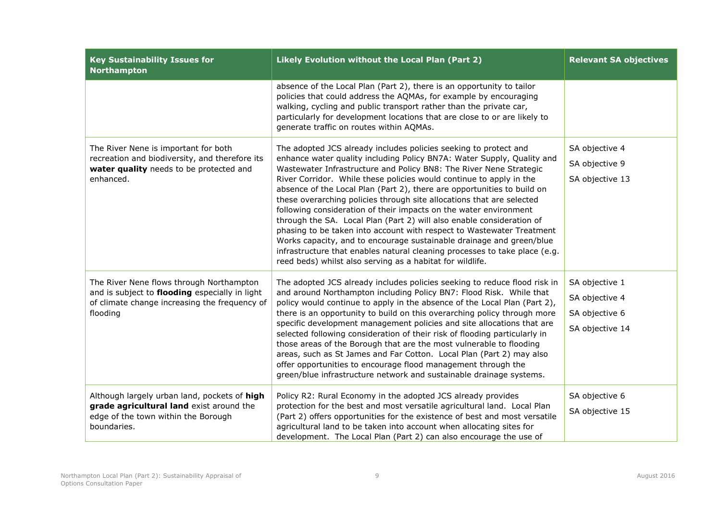| <b>Key Sustainability Issues for</b><br><b>Northampton</b>                                                                                              | Likely Evolution without the Local Plan (Part 2)                                                                                                                                                                                                                                                                                                                                                                                                                                                                                                                                                                                                                                                                                                                                                                                                                                      | <b>Relevant SA objectives</b>                                         |
|---------------------------------------------------------------------------------------------------------------------------------------------------------|---------------------------------------------------------------------------------------------------------------------------------------------------------------------------------------------------------------------------------------------------------------------------------------------------------------------------------------------------------------------------------------------------------------------------------------------------------------------------------------------------------------------------------------------------------------------------------------------------------------------------------------------------------------------------------------------------------------------------------------------------------------------------------------------------------------------------------------------------------------------------------------|-----------------------------------------------------------------------|
|                                                                                                                                                         | absence of the Local Plan (Part 2), there is an opportunity to tailor<br>policies that could address the AQMAs, for example by encouraging<br>walking, cycling and public transport rather than the private car,<br>particularly for development locations that are close to or are likely to<br>generate traffic on routes within AQMAs.                                                                                                                                                                                                                                                                                                                                                                                                                                                                                                                                             |                                                                       |
| The River Nene is important for both<br>recreation and biodiversity, and therefore its<br>water quality needs to be protected and<br>enhanced.          | The adopted JCS already includes policies seeking to protect and<br>enhance water quality including Policy BN7A: Water Supply, Quality and<br>Wastewater Infrastructure and Policy BN8: The River Nene Strategic<br>River Corridor. While these policies would continue to apply in the<br>absence of the Local Plan (Part 2), there are opportunities to build on<br>these overarching policies through site allocations that are selected<br>following consideration of their impacts on the water environment<br>through the SA. Local Plan (Part 2) will also enable consideration of<br>phasing to be taken into account with respect to Wastewater Treatment<br>Works capacity, and to encourage sustainable drainage and green/blue<br>infrastructure that enables natural cleaning processes to take place (e.g.<br>reed beds) whilst also serving as a habitat for wildlife. | SA objective 4<br>SA objective 9<br>SA objective 13                   |
| The River Nene flows through Northampton<br>and is subject to flooding especially in light<br>of climate change increasing the frequency of<br>flooding | The adopted JCS already includes policies seeking to reduce flood risk in<br>and around Northampton including Policy BN7: Flood Risk. While that<br>policy would continue to apply in the absence of the Local Plan (Part 2),<br>there is an opportunity to build on this overarching policy through more<br>specific development management policies and site allocations that are<br>selected following consideration of their risk of flooding particularly in<br>those areas of the Borough that are the most vulnerable to flooding<br>areas, such as St James and Far Cotton. Local Plan (Part 2) may also<br>offer opportunities to encourage flood management through the<br>green/blue infrastructure network and sustainable drainage systems.                                                                                                                              | SA objective 1<br>SA objective 4<br>SA objective 6<br>SA objective 14 |
| Although largely urban land, pockets of high<br>grade agricultural land exist around the<br>edge of the town within the Borough<br>boundaries.          | Policy R2: Rural Economy in the adopted JCS already provides<br>protection for the best and most versatile agricultural land. Local Plan<br>(Part 2) offers opportunities for the existence of best and most versatile<br>agricultural land to be taken into account when allocating sites for<br>development. The Local Plan (Part 2) can also encourage the use of                                                                                                                                                                                                                                                                                                                                                                                                                                                                                                                  | SA objective 6<br>SA objective 15                                     |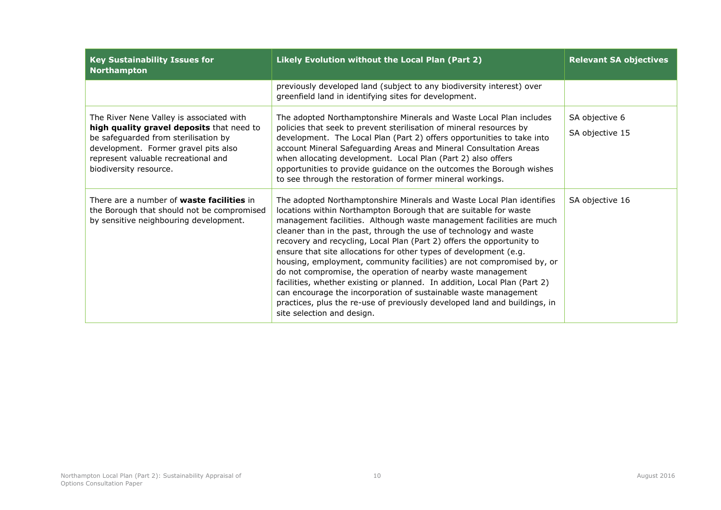| <b>Key Sustainability Issues for</b><br><b>Northampton</b>                                                                                                                                                                             | Likely Evolution without the Local Plan (Part 2)                                                                                                                                                                                                                                                                                                                                                                                                                                                                                                                                                                                                                                                                                                                                                                                        | <b>Relevant SA objectives</b>     |
|----------------------------------------------------------------------------------------------------------------------------------------------------------------------------------------------------------------------------------------|-----------------------------------------------------------------------------------------------------------------------------------------------------------------------------------------------------------------------------------------------------------------------------------------------------------------------------------------------------------------------------------------------------------------------------------------------------------------------------------------------------------------------------------------------------------------------------------------------------------------------------------------------------------------------------------------------------------------------------------------------------------------------------------------------------------------------------------------|-----------------------------------|
|                                                                                                                                                                                                                                        | previously developed land (subject to any biodiversity interest) over<br>greenfield land in identifying sites for development.                                                                                                                                                                                                                                                                                                                                                                                                                                                                                                                                                                                                                                                                                                          |                                   |
| The River Nene Valley is associated with<br>high quality gravel deposits that need to<br>be safeguarded from sterilisation by<br>development. Former gravel pits also<br>represent valuable recreational and<br>biodiversity resource. | The adopted Northamptonshire Minerals and Waste Local Plan includes<br>policies that seek to prevent sterilisation of mineral resources by<br>development. The Local Plan (Part 2) offers opportunities to take into<br>account Mineral Safeguarding Areas and Mineral Consultation Areas<br>when allocating development. Local Plan (Part 2) also offers<br>opportunities to provide guidance on the outcomes the Borough wishes<br>to see through the restoration of former mineral workings.                                                                                                                                                                                                                                                                                                                                         | SA objective 6<br>SA objective 15 |
| There are a number of <b>waste facilities</b> in<br>the Borough that should not be compromised<br>by sensitive neighbouring development.                                                                                               | The adopted Northamptonshire Minerals and Waste Local Plan identifies<br>locations within Northampton Borough that are suitable for waste<br>management facilities. Although waste management facilities are much<br>cleaner than in the past, through the use of technology and waste<br>recovery and recycling, Local Plan (Part 2) offers the opportunity to<br>ensure that site allocations for other types of development (e.g.<br>housing, employment, community facilities) are not compromised by, or<br>do not compromise, the operation of nearby waste management<br>facilities, whether existing or planned. In addition, Local Plan (Part 2)<br>can encourage the incorporation of sustainable waste management<br>practices, plus the re-use of previously developed land and buildings, in<br>site selection and design. | SA objective 16                   |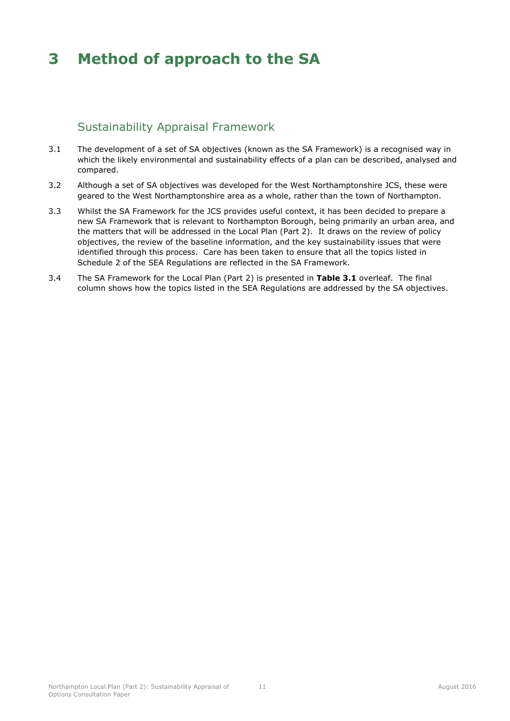# <span id="page-15-0"></span>**3 Method of approach to the SA**

## Sustainability Appraisal Framework

- <span id="page-15-1"></span>3.1 The development of a set of SA objectives (known as the SA Framework) is a recognised way in which the likely environmental and sustainability effects of a plan can be described, analysed and compared.
- 3.2 Although a set of SA objectives was developed for the West Northamptonshire JCS, these were geared to the West Northamptonshire area as a whole, rather than the town of Northampton.
- 3.3 Whilst the SA Framework for the JCS provides useful context, it has been decided to prepare a new SA Framework that is relevant to Northampton Borough, being primarily an urban area, and the matters that will be addressed in the Local Plan (Part 2). It draws on the review of policy objectives, the review of the baseline information, and the key sustainability issues that were identified through this process. Care has been taken to ensure that all the topics listed in Schedule 2 of the SEA Regulations are reflected in the SA Framework.
- 3.4 The SA Framework for the Local Plan (Part 2) is presented in **[Table 3.1](#page-16-0)** overleaf. The final column shows how the topics listed in the SEA Regulations are addressed by the SA objectives.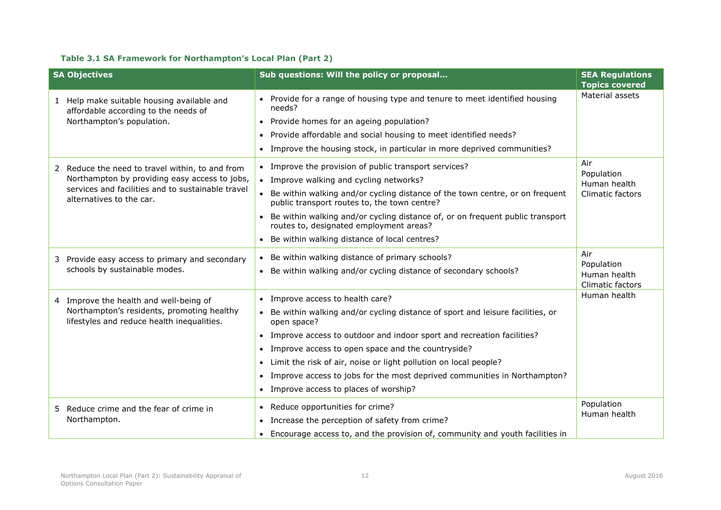### **Table 3.1 SA Framework for Northampton's Local Plan (Part 2)**

<span id="page-16-0"></span>

| <b>SA Objectives</b>                                                                     | Sub questions: Will the policy or proposal                                                                                     | <b>SEA Regulations</b>     |
|------------------------------------------------------------------------------------------|--------------------------------------------------------------------------------------------------------------------------------|----------------------------|
|                                                                                          |                                                                                                                                | <b>Topics covered</b>      |
| 1 Help make suitable housing available and<br>affordable according to the needs of       | • Provide for a range of housing type and tenure to meet identified housing<br>needs?                                          | Material assets            |
| Northampton's population.                                                                | • Provide homes for an ageing population?                                                                                      |                            |
|                                                                                          | • Provide affordable and social housing to meet identified needs?                                                              |                            |
|                                                                                          | • Improve the housing stock, in particular in more deprived communities?                                                       |                            |
| 2 Reduce the need to travel within, to and from                                          | • Improve the provision of public transport services?                                                                          | Air                        |
| Northampton by providing easy access to jobs,                                            | • Improve walking and cycling networks?                                                                                        | Population<br>Human health |
| services and facilities and to sustainable travel<br>alternatives to the car.            | • Be within walking and/or cycling distance of the town centre, or on frequent<br>public transport routes to, the town centre? | Climatic factors           |
|                                                                                          | • Be within walking and/or cycling distance of, or on frequent public transport<br>routes to, designated employment areas?     |                            |
|                                                                                          | • Be within walking distance of local centres?                                                                                 |                            |
| 3 Provide easy access to primary and secondary                                           | • Be within walking distance of primary schools?                                                                               | Air                        |
| schools by sustainable modes.                                                            | • Be within walking and/or cycling distance of secondary schools?                                                              | Population<br>Human health |
|                                                                                          |                                                                                                                                | Climatic factors           |
| 4 Improve the health and well-being of                                                   | • Improve access to health care?                                                                                               | Human health               |
| Northampton's residents, promoting healthy<br>lifestyles and reduce health inequalities. | • Be within walking and/or cycling distance of sport and leisure facilities, or<br>open space?                                 |                            |
|                                                                                          | • Improve access to outdoor and indoor sport and recreation facilities?                                                        |                            |
|                                                                                          | • Improve access to open space and the countryside?                                                                            |                            |
|                                                                                          | • Limit the risk of air, noise or light pollution on local people?                                                             |                            |
|                                                                                          | • Improve access to jobs for the most deprived communities in Northampton?                                                     |                            |
|                                                                                          | • Improve access to places of worship?                                                                                         |                            |
| 5 Reduce crime and the fear of crime in                                                  | • Reduce opportunities for crime?                                                                                              | Population                 |
| Northampton.                                                                             | • Increase the perception of safety from crime?                                                                                | Human health               |
|                                                                                          | • Encourage access to, and the provision of, community and youth facilities in                                                 |                            |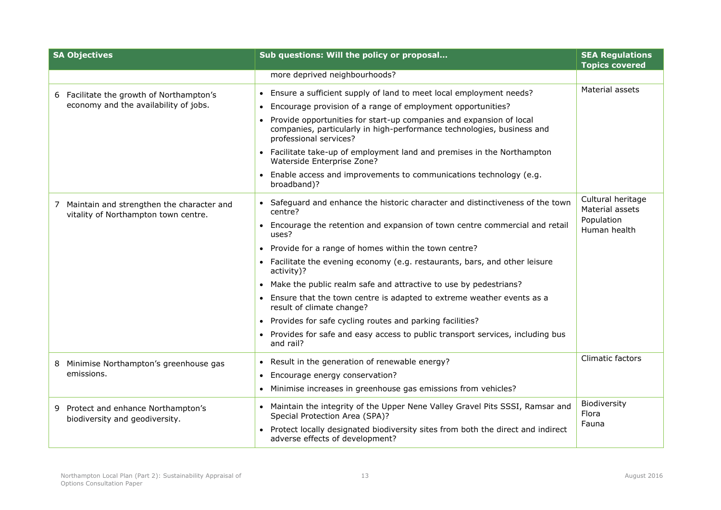| <b>SA Objectives</b>                                                              | Sub questions: Will the policy or proposal                                                                                                                              | <b>SEA Regulations</b>               |
|-----------------------------------------------------------------------------------|-------------------------------------------------------------------------------------------------------------------------------------------------------------------------|--------------------------------------|
|                                                                                   | more deprived neighbourhoods?                                                                                                                                           | <b>Topics covered</b>                |
|                                                                                   |                                                                                                                                                                         |                                      |
| Facilitate the growth of Northampton's<br>6.                                      | • Ensure a sufficient supply of land to meet local employment needs?                                                                                                    | Material assets                      |
| economy and the availability of jobs.                                             | Encourage provision of a range of employment opportunities?                                                                                                             |                                      |
|                                                                                   | Provide opportunities for start-up companies and expansion of local<br>companies, particularly in high-performance technologies, business and<br>professional services? |                                      |
|                                                                                   | • Facilitate take-up of employment land and premises in the Northampton<br>Waterside Enterprise Zone?                                                                   |                                      |
|                                                                                   | Enable access and improvements to communications technology (e.g.<br>broadband)?                                                                                        |                                      |
| Maintain and strengthen the character and<br>vitality of Northampton town centre. | • Safeguard and enhance the historic character and distinctiveness of the town<br>centre?                                                                               | Cultural heritage<br>Material assets |
|                                                                                   | Encourage the retention and expansion of town centre commercial and retail<br>uses?                                                                                     | Population<br>Human health           |
|                                                                                   | • Provide for a range of homes within the town centre?                                                                                                                  |                                      |
|                                                                                   | • Facilitate the evening economy (e.g. restaurants, bars, and other leisure<br>activity)?                                                                               |                                      |
|                                                                                   | • Make the public realm safe and attractive to use by pedestrians?                                                                                                      |                                      |
|                                                                                   | Ensure that the town centre is adapted to extreme weather events as a<br>result of climate change?                                                                      |                                      |
|                                                                                   | • Provides for safe cycling routes and parking facilities?                                                                                                              |                                      |
|                                                                                   | Provides for safe and easy access to public transport services, including bus<br>and rail?                                                                              |                                      |
| Minimise Northampton's greenhouse gas<br>8                                        | Result in the generation of renewable energy?                                                                                                                           | Climatic factors                     |
| emissions.                                                                        | Encourage energy conservation?                                                                                                                                          |                                      |
|                                                                                   | • Minimise increases in greenhouse gas emissions from vehicles?                                                                                                         |                                      |
| Protect and enhance Northampton's<br>9.<br>biodiversity and geodiversity.         | • Maintain the integrity of the Upper Nene Valley Gravel Pits SSSI, Ramsar and<br>Special Protection Area (SPA)?                                                        | Biodiversity<br>Flora                |
|                                                                                   | • Protect locally designated biodiversity sites from both the direct and indirect<br>adverse effects of development?                                                    | Fauna                                |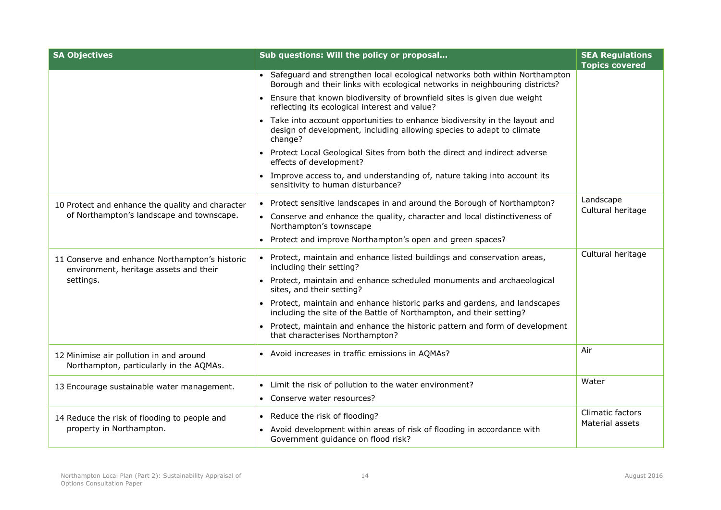| <b>SA Objectives</b>                                                                     | Sub questions: Will the policy or proposal                                                                                                                      | <b>SEA Regulations</b>              |
|------------------------------------------------------------------------------------------|-----------------------------------------------------------------------------------------------------------------------------------------------------------------|-------------------------------------|
|                                                                                          | • Safeguard and strengthen local ecological networks both within Northampton<br>Borough and their links with ecological networks in neighbouring districts?     | <b>Topics covered</b>               |
|                                                                                          | • Ensure that known biodiversity of brownfield sites is given due weight<br>reflecting its ecological interest and value?                                       |                                     |
|                                                                                          | • Take into account opportunities to enhance biodiversity in the layout and<br>design of development, including allowing species to adapt to climate<br>change? |                                     |
|                                                                                          | • Protect Local Geological Sites from both the direct and indirect adverse<br>effects of development?                                                           |                                     |
|                                                                                          | Improve access to, and understanding of, nature taking into account its<br>sensitivity to human disturbance?                                                    |                                     |
| 10 Protect and enhance the quality and character                                         | • Protect sensitive landscapes in and around the Borough of Northampton?                                                                                        | Landscape<br>Cultural heritage      |
| of Northampton's landscape and townscape.                                                | • Conserve and enhance the quality, character and local distinctiveness of<br>Northampton's townscape                                                           |                                     |
|                                                                                          | • Protect and improve Northampton's open and green spaces?                                                                                                      |                                     |
| 11 Conserve and enhance Northampton's historic<br>environment, heritage assets and their | • Protect, maintain and enhance listed buildings and conservation areas,<br>including their setting?                                                            | Cultural heritage                   |
| settings.                                                                                | • Protect, maintain and enhance scheduled monuments and archaeological<br>sites, and their setting?                                                             |                                     |
|                                                                                          | • Protect, maintain and enhance historic parks and gardens, and landscapes<br>including the site of the Battle of Northampton, and their setting?               |                                     |
|                                                                                          | • Protect, maintain and enhance the historic pattern and form of development<br>that characterises Northampton?                                                 |                                     |
| 12 Minimise air pollution in and around<br>Northampton, particularly in the AQMAs.       | • Avoid increases in traffic emissions in AQMAs?                                                                                                                | Air                                 |
| 13 Encourage sustainable water management.                                               | Limit the risk of pollution to the water environment?                                                                                                           | Water                               |
|                                                                                          | • Conserve water resources?                                                                                                                                     |                                     |
| 14 Reduce the risk of flooding to people and                                             | • Reduce the risk of flooding?                                                                                                                                  | Climatic factors<br>Material assets |
| property in Northampton.                                                                 | Avoid development within areas of risk of flooding in accordance with<br>Government guidance on flood risk?                                                     |                                     |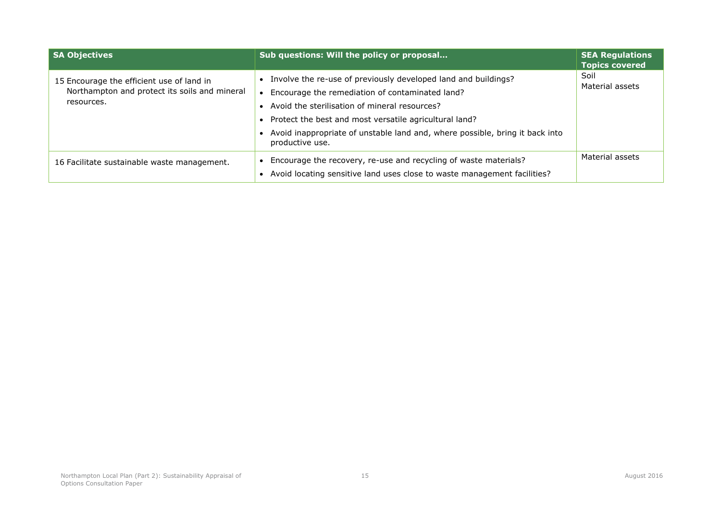| <b>SA Objectives</b>                                                                                     | Sub questions: Will the policy or proposal                                                                                                                                                                                                                                                                                          | <b>SEA Regulations</b><br><b>Topics covered</b> |
|----------------------------------------------------------------------------------------------------------|-------------------------------------------------------------------------------------------------------------------------------------------------------------------------------------------------------------------------------------------------------------------------------------------------------------------------------------|-------------------------------------------------|
| 15 Encourage the efficient use of land in<br>Northampton and protect its soils and mineral<br>resources. | Involve the re-use of previously developed land and buildings?<br>Encourage the remediation of contaminated land?<br>• Avoid the sterilisation of mineral resources?<br>• Protect the best and most versatile agricultural land?<br>Avoid inappropriate of unstable land and, where possible, bring it back into<br>productive use. | Soil<br>Material assets                         |
| 16 Facilitate sustainable waste management.                                                              | Encourage the recovery, re-use and recycling of waste materials?<br>Avoid locating sensitive land uses close to waste management facilities?                                                                                                                                                                                        | Material assets                                 |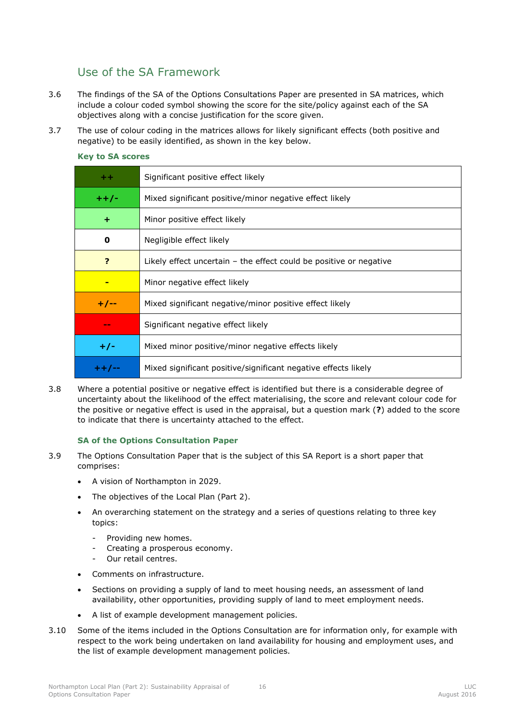## <span id="page-20-0"></span>Use of the SA Framework

- 3.6 The findings of the SA of the Options Consultations Paper are presented in SA matrices, which include a colour coded symbol showing the score for the site/policy against each of the SA objectives along with a concise justification for the score given.
- 3.7 The use of colour coding in the matrices allows for likely significant effects (both positive and negative) to be easily identified, as shown in the key below.

| $+ +$   | Significant positive effect likely                                   |
|---------|----------------------------------------------------------------------|
| $+ +/-$ | Mixed significant positive/minor negative effect likely              |
| ٠       | Minor positive effect likely                                         |
| 0       | Negligible effect likely                                             |
| 7       | Likely effect uncertain $-$ the effect could be positive or negative |
|         | Minor negative effect likely                                         |
| $+/--$  | Mixed significant negative/minor positive effect likely              |
| $-$     | Significant negative effect likely                                   |
| $+/-$   | Mixed minor positive/minor negative effects likely                   |
| ++/--   | Mixed significant positive/significant negative effects likely       |

#### **Key to SA scores**

3.8 Where a potential positive or negative effect is identified but there is a considerable degree of uncertainty about the likelihood of the effect materialising, the score and relevant colour code for the positive or negative effect is used in the appraisal, but a question mark (**?**) added to the score to indicate that there is uncertainty attached to the effect.

### **SA of the Options Consultation Paper**

- 3.9 The Options Consultation Paper that is the subject of this SA Report is a short paper that comprises:
	- A vision of Northampton in 2029.
	- The objectives of the Local Plan (Part 2).
	- An overarching statement on the strategy and a series of questions relating to three key topics:
		- Providing new homes.
		- Creating a prosperous economy.
		- Our retail centres.
	- Comments on infrastructure.
	- Sections on providing a supply of land to meet housing needs, an assessment of land availability, other opportunities, providing supply of land to meet employment needs.
	- A list of example development management policies.
- 3.10 Some of the items included in the Options Consultation are for information only, for example with respect to the work being undertaken on land availability for housing and employment uses, and the list of example development management policies.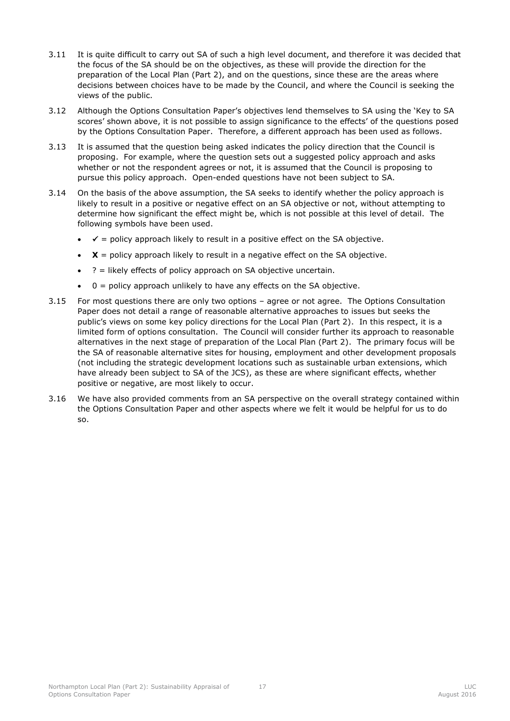- 3.11 It is quite difficult to carry out SA of such a high level document, and therefore it was decided that the focus of the SA should be on the objectives, as these will provide the direction for the preparation of the Local Plan (Part 2), and on the questions, since these are the areas where decisions between choices have to be made by the Council, and where the Council is seeking the views of the public.
- 3.12 Although the Options Consultation Paper's objectives lend themselves to SA using the 'Key to SA scores' shown above, it is not possible to assign significance to the effects' of the questions posed by the Options Consultation Paper. Therefore, a different approach has been used as follows.
- 3.13 It is assumed that the question being asked indicates the policy direction that the Council is proposing. For example, where the question sets out a suggested policy approach and asks whether or not the respondent agrees or not, it is assumed that the Council is proposing to pursue this policy approach. Open-ended questions have not been subject to SA.
- 3.14 On the basis of the above assumption, the SA seeks to identify whether the policy approach is likely to result in a positive or negative effect on an SA objective or not, without attempting to determine how significant the effect might be, which is not possible at this level of detail. The following symbols have been used.
	- $\checkmark$  = policy approach likely to result in a positive effect on the SA objective.
	- $\bullet$   $\mathbf{X}$  = policy approach likely to result in a negative effect on the SA objective.
	- $\bullet$  ? = likely effects of policy approach on SA objective uncertain.
	- $0 =$  policy approach unlikely to have any effects on the SA objective.
- 3.15 For most questions there are only two options agree or not agree. The Options Consultation Paper does not detail a range of reasonable alternative approaches to issues but seeks the public's views on some key policy directions for the Local Plan (Part 2). In this respect, it is a limited form of options consultation. The Council will consider further its approach to reasonable alternatives in the next stage of preparation of the Local Plan (Part 2). The primary focus will be the SA of reasonable alternative sites for housing, employment and other development proposals (not including the strategic development locations such as sustainable urban extensions, which have already been subject to SA of the JCS), as these are where significant effects, whether positive or negative, are most likely to occur.
- 3.16 We have also provided comments from an SA perspective on the overall strategy contained within the Options Consultation Paper and other aspects where we felt it would be helpful for us to do so.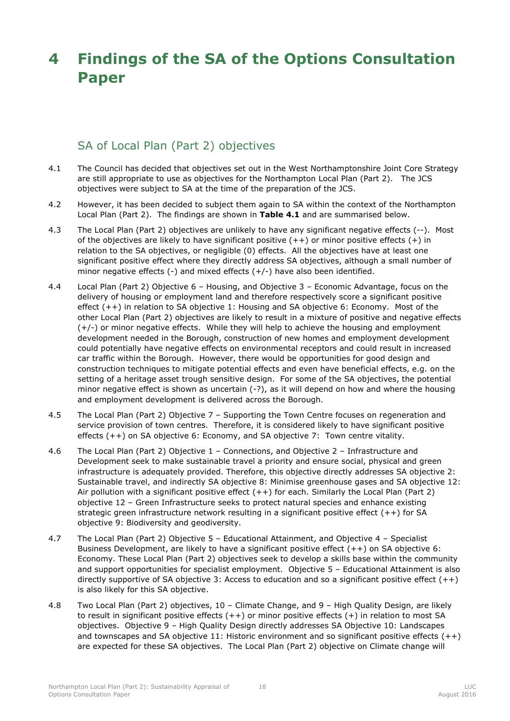# <span id="page-22-0"></span>**4 Findings of the SA of the Options Consultation Paper**

## SA of Local Plan (Part 2) objectives

- <span id="page-22-1"></span>4.1 The Council has decided that objectives set out in the West Northamptonshire Joint Core Strategy are still appropriate to use as objectives for the Northampton Local Plan (Part 2). The JCS objectives were subject to SA at the time of the preparation of the JCS.
- 4.2 However, it has been decided to subject them again to SA within the context of the Northampton Local Plan (Part 2). The findings are shown in **[Table 4.1](#page-24-0)** and are summarised below.
- 4.3 The Local Plan (Part 2) objectives are unlikely to have any significant negative effects (--). Most of the objectives are likely to have significant positive  $(++)$  or minor positive effects  $(+)$  in relation to the SA objectives, or negligible (0) effects. All the objectives have at least one significant positive effect where they directly address SA objectives, although a small number of minor negative effects (-) and mixed effects (+/-) have also been identified.
- 4.4 Local Plan (Part 2) Objective 6 Housing, and Objective 3 Economic Advantage, focus on the delivery of housing or employment land and therefore respectively score a significant positive effect (++) in relation to SA objective 1: Housing and SA objective 6: Economy. Most of the other Local Plan (Part 2) objectives are likely to result in a mixture of positive and negative effects (+/-) or minor negative effects. While they will help to achieve the housing and employment development needed in the Borough, construction of new homes and employment development could potentially have negative effects on environmental receptors and could result in increased car traffic within the Borough. However, there would be opportunities for good design and construction techniques to mitigate potential effects and even have beneficial effects, e.g. on the setting of a heritage asset trough sensitive design. For some of the SA objectives, the potential minor negative effect is shown as uncertain (-?), as it will depend on how and where the housing and employment development is delivered across the Borough.
- 4.5 The Local Plan (Part 2) Objective 7 Supporting the Town Centre focuses on regeneration and service provision of town centres. Therefore, it is considered likely to have significant positive effects (++) on SA objective 6: Economy, and SA objective 7: Town centre vitality.
- 4.6 The Local Plan (Part 2) Objective 1 Connections, and Objective 2 Infrastructure and Development seek to make sustainable travel a priority and ensure social, physical and green infrastructure is adequately provided. Therefore, this objective directly addresses SA objective 2: Sustainable travel, and indirectly SA objective 8: Minimise greenhouse gases and SA objective 12: Air pollution with a significant positive effect (++) for each. Similarly the Local Plan (Part 2) objective 12 – Green Infrastructure seeks to protect natural species and enhance existing strategic green infrastructure network resulting in a significant positive effect (++) for SA objective 9: Biodiversity and geodiversity.
- 4.7 The Local Plan (Part 2) Objective 5 Educational Attainment, and Objective 4 Specialist Business Development, are likely to have a significant positive effect (++) on SA objective 6: Economy. These Local Plan (Part 2) objectives seek to develop a skills base within the community and support opportunities for specialist employment. Objective 5 – Educational Attainment is also directly supportive of SA objective 3: Access to education and so a significant positive effect  $(++)$ is also likely for this SA objective.
- 4.8 Two Local Plan (Part 2) objectives, 10 Climate Change, and 9 High Quality Design, are likely to result in significant positive effects (++) or minor positive effects (+) in relation to most SA objectives. Objective 9 – High Quality Design directly addresses SA Objective 10: Landscapes and townscapes and SA objective 11: Historic environment and so significant positive effects  $(++)$ are expected for these SA objectives. The Local Plan (Part 2) objective on Climate change will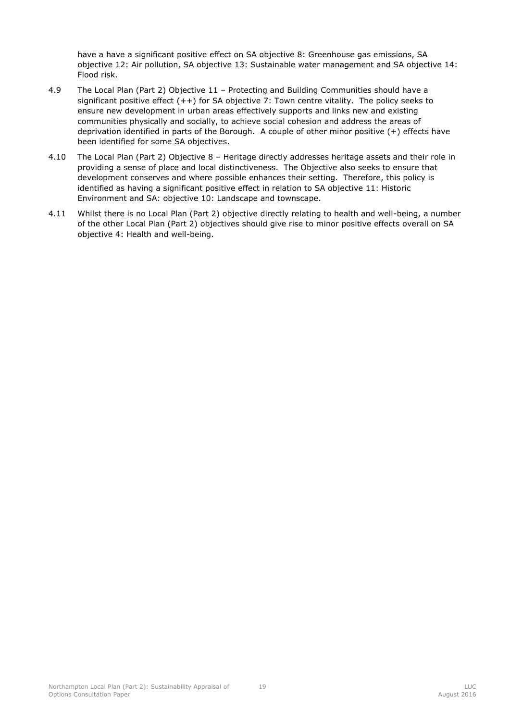have a have a significant positive effect on SA objective 8: Greenhouse gas emissions, SA objective 12: Air pollution, SA objective 13: Sustainable water management and SA objective 14: Flood risk.

- 4.9 The Local Plan (Part 2) Objective 11 Protecting and Building Communities should have a significant positive effect  $(++)$  for SA objective 7: Town centre vitality. The policy seeks to ensure new development in urban areas effectively supports and links new and existing communities physically and socially, to achieve social cohesion and address the areas of deprivation identified in parts of the Borough. A couple of other minor positive (+) effects have been identified for some SA objectives.
- 4.10 The Local Plan (Part 2) Objective 8 Heritage directly addresses heritage assets and their role in providing a sense of place and local distinctiveness. The Objective also seeks to ensure that development conserves and where possible enhances their setting. Therefore, this policy is identified as having a significant positive effect in relation to SA objective 11: Historic Environment and SA: objective 10: Landscape and townscape.
- 4.11 Whilst there is no Local Plan (Part 2) objective directly relating to health and well-being, a number of the other Local Plan (Part 2) objectives should give rise to minor positive effects overall on SA objective 4: Health and well-being.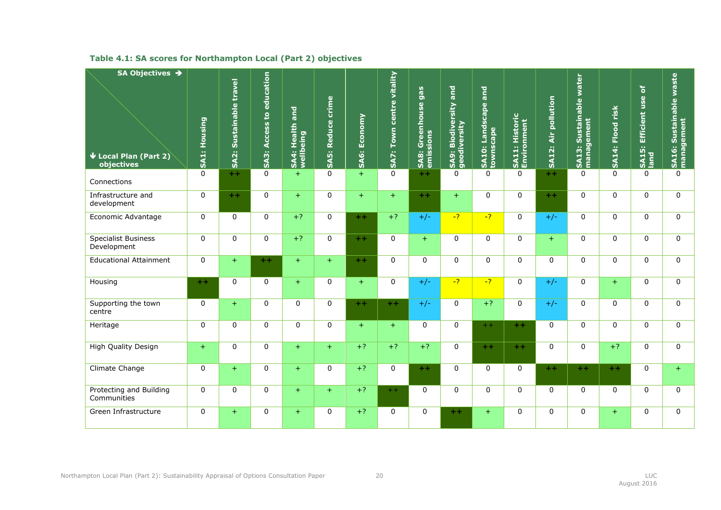<span id="page-24-0"></span>

| SA Objectives →                                         |              |                                        |                                    |                                   |                             |                     |                              |                                               |                                          |                                                    |                               |                     |                                                    |                               |                                                                |                                       |
|---------------------------------------------------------|--------------|----------------------------------------|------------------------------------|-----------------------------------|-----------------------------|---------------------|------------------------------|-----------------------------------------------|------------------------------------------|----------------------------------------------------|-------------------------------|---------------------|----------------------------------------------------|-------------------------------|----------------------------------------------------------------|---------------------------------------|
| $\blacktriangleright$ Local Plan (Part 2)<br>objectives | SA1: Housing | Sustainable travel<br>SA <sub>2:</sub> | to education<br><b>SA3: Access</b> | and<br>SA4: Health ;<br>wellbeing | crime<br><b>SA5: Reduce</b> | <b>SA6: Economy</b> | centre vitality<br>SA7: Town | gas<br>Greenhouse<br>emissions<br><b>SA8:</b> | and<br>SA9: Biodiversity<br>geodiversity | <b>bue</b><br>Landscape<br>cape<br>SA10:<br>townsc | SA11: Historic<br>Environment | SA12: Air pollution | water<br>Sustainable<br>management<br><b>SA13:</b> | risk<br>Flood<br><b>SA14:</b> | $\overline{\sigma}$<br>Efficient use<br><b>SA15: 1</b><br>land | SA16: Sustainable waste<br>management |
| Connections                                             | $\mathbf 0$  | $++$                                   | $\mathbf 0$                        | $+$                               | $\mathbf 0$                 | $+$                 | $\mathbf{0}$                 | $+ +$                                         | $\Omega$                                 | $\Omega$                                           | $\mathbf{0}$                  | $+ +$               | $\Omega$                                           | $\Omega$                      | $\Omega$                                                       | $\Omega$                              |
| Infrastructure and<br>development                       | $\mathbf 0$  | $+ +$                                  | $\mathbf 0$                        | $+$                               | 0                           | $+$                 | $+$                          | $+ +$                                         | $+$                                      | $\mathbf{0}$                                       | $\Omega$                      | $+ +$               | $\mathbf{0}$                                       | $\Omega$                      | $\Omega$                                                       | 0                                     |
| Economic Advantage                                      | $\mathbf 0$  | $\mathbf 0$                            | $\mathbf 0$                        | $+?$                              | 0                           | $++$                | $+?$                         | $+/-$                                         | $-7$                                     | $-2$                                               | $\Omega$                      | $+/-$               | $\mathbf{0}$                                       | $\Omega$                      | $\Omega$                                                       | 0                                     |
| <b>Specialist Business</b><br>Development               | $\mathbf 0$  | $\mathbf 0$                            | 0                                  | $+?$                              | 0                           | $+ +$               | $\mathbf 0$                  | $+$                                           | $\Omega$                                 | $\mathbf 0$                                        | $\mathbf{0}$                  | $+$                 | $\mathbf 0$                                        | $\mathbf 0$                   | 0                                                              | 0                                     |
| <b>Educational Attainment</b>                           | $\mathbf 0$  | $+$                                    | $+ +$                              | $+$                               | $+$                         | $+ +$               | $\mathbf{0}$                 | $\mathbf{0}$                                  | $\mathbf{0}$                             | $\mathbf{0}$                                       | $\Omega$                      | $\mathbf{0}$        | $\mathbf 0$                                        | $\mathbf{0}$                  | $\mathbf{0}$                                                   | 0                                     |
| Housing                                                 | $+ +$        | $\Omega$                               | $\mathbf 0$                        | $+$                               | 0                           | $+$                 | $\mathbf{0}$                 | $+/-$                                         | $-2$                                     | $-2$                                               | $\Omega$                      | $+/-$               | $\mathbf{0}$                                       | $+$                           | $\Omega$                                                       | 0                                     |
| Supporting the town<br>centre                           | $\Omega$     | $+$                                    | $\Omega$                           | $\mathbf 0$                       | 0                           | $+ +$               | $+ +$                        | $+/-$                                         | $\Omega$                                 | $+?$                                               | $\Omega$                      | $+/-$               | $\mathbf{0}$                                       | $\Omega$                      | $\Omega$                                                       | $\overline{0}$                        |
| Heritage                                                | $\mathbf 0$  | $\mathbf 0$                            | 0                                  | $\mathbf 0$                       | 0                           | $+$                 | $+$                          | $\mathbf{0}$                                  | $\mathbf 0$                              | $+ +$                                              | $+ +$                         | $\mathbf{0}$        | $\mathbf 0$                                        | $\mathbf{0}$                  | $\Omega$                                                       | 0                                     |
| High Quality Design                                     | $+$          | $\mathbf 0$                            | 0                                  | $+$                               | $+$                         | $+?$                | $+?$                         | $+?$                                          | $\mathbf 0$                              | $+ +$                                              | $+ +$                         | $\mathbf{0}$        | $\mathbf 0$                                        | $+?$                          | $\mathbf 0$                                                    | 0                                     |
| <b>Climate Change</b>                                   | $\mathbf 0$  | $+$                                    | 0                                  | $+$                               | 0                           | $+?$                | $\mathbf 0$                  | $+ +$                                         | $\mathbf{0}$                             | $\mathbf 0$                                        | $\mathbf 0$                   | $+ +$               | $+ +$                                              | $+ +$                         | $\Omega$                                                       | $+$                                   |
| Protecting and Building<br>Communities                  | $\Omega$     | $\mathbf 0$                            | $\mathbf 0$                        | $+$                               | $+$                         | $+?$                | $++$                         | $\mathbf 0$                                   | $\Omega$                                 | $\Omega$                                           | $\mathbf{0}$                  | $\mathbf{0}$        | $\mathbf 0$                                        | $\Omega$                      | $\Omega$                                                       | 0                                     |
| Green Infrastructure                                    | $\mathbf 0$  | $+$                                    | 0                                  | $+$                               | 0                           | $+?$                | $\Omega$                     | $\mathbf 0$                                   | $+ +$                                    | $+$                                                | 0                             | $\mathbf 0$         | 0                                                  | $+$                           | 0                                                              | 0                                     |

### **Table 4.1: SA scores for Northampton Local (Part 2) objectives**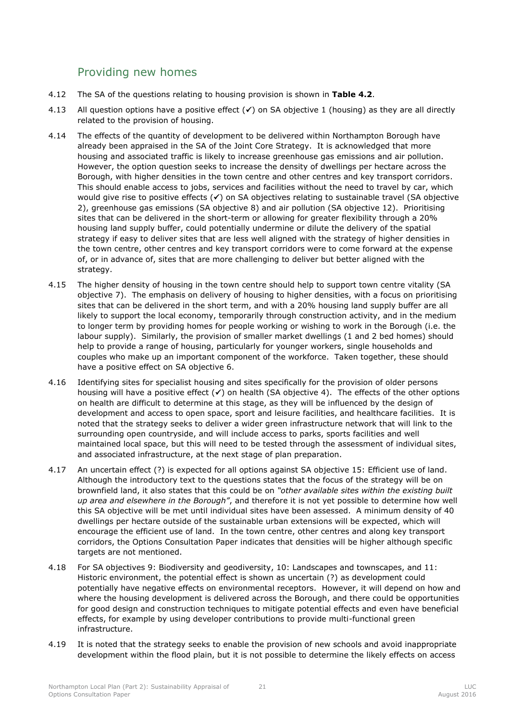## <span id="page-25-0"></span>Providing new homes

- 4.12 The SA of the questions relating to housing provision is shown in **[Table 4.2](#page-27-0)**.
- 4.13 All question options have a positive effect  $(\checkmark)$  on SA objective 1 (housing) as they are all directly related to the provision of housing.
- 4.14 The effects of the quantity of development to be delivered within Northampton Borough have already been appraised in the SA of the Joint Core Strategy. It is acknowledged that more housing and associated traffic is likely to increase greenhouse gas emissions and air pollution. However, the option question seeks to increase the density of dwellings per hectare across the Borough, with higher densities in the town centre and other centres and key transport corridors. This should enable access to jobs, services and facilities without the need to travel by car, which would give rise to positive effects  $(V)$  on SA objectives relating to sustainable travel (SA objective 2), greenhouse gas emissions (SA objective 8) and air pollution (SA objective 12). Prioritising sites that can be delivered in the short-term or allowing for greater flexibility through a 20% housing land supply buffer, could potentially undermine or dilute the delivery of the spatial strategy if easy to deliver sites that are less well aligned with the strategy of higher densities in the town centre, other centres and key transport corridors were to come forward at the expense of, or in advance of, sites that are more challenging to deliver but better aligned with the strategy.
- 4.15 The higher density of housing in the town centre should help to support town centre vitality (SA objective 7). The emphasis on delivery of housing to higher densities, with a focus on prioritising sites that can be delivered in the short term, and with a 20% housing land supply buffer are all likely to support the local economy, temporarily through construction activity, and in the medium to longer term by providing homes for people working or wishing to work in the Borough (i.e. the labour supply). Similarly, the provision of smaller market dwellings (1 and 2 bed homes) should help to provide a range of housing, particularly for younger workers, single households and couples who make up an important component of the workforce. Taken together, these should have a positive effect on SA objective 6.
- 4.16 Identifying sites for specialist housing and sites specifically for the provision of older persons housing will have a positive effect  $(V)$  on health (SA objective 4). The effects of the other options on health are difficult to determine at this stage, as they will be influenced by the design of development and access to open space, sport and leisure facilities, and healthcare facilities. It is noted that the strategy seeks to deliver a wider green infrastructure network that will link to the surrounding open countryside, and will include access to parks, sports facilities and well maintained local space, but this will need to be tested through the assessment of individual sites, and associated infrastructure, at the next stage of plan preparation.
- 4.17 An uncertain effect (?) is expected for all options against SA objective 15: Efficient use of land. Although the introductory text to the questions states that the focus of the strategy will be on brownfield land, it also states that this could be on *"other available sites within the existing built up area and elsewhere in the Borough"*, and therefore it is not yet possible to determine how well this SA objective will be met until individual sites have been assessed. A minimum density of 40 dwellings per hectare outside of the sustainable urban extensions will be expected, which will encourage the efficient use of land. In the town centre, other centres and along key transport corridors, the Options Consultation Paper indicates that densities will be higher although specific targets are not mentioned.
- 4.18 For SA objectives 9: Biodiversity and geodiversity, 10: Landscapes and townscapes, and 11: Historic environment, the potential effect is shown as uncertain (?) as development could potentially have negative effects on environmental receptors. However, it will depend on how and where the housing development is delivered across the Borough, and there could be opportunities for good design and construction techniques to mitigate potential effects and even have beneficial effects, for example by using developer contributions to provide multi-functional green infrastructure.
- 4.19 It is noted that the strategy seeks to enable the provision of new schools and avoid inappropriate development within the flood plain, but it is not possible to determine the likely effects on access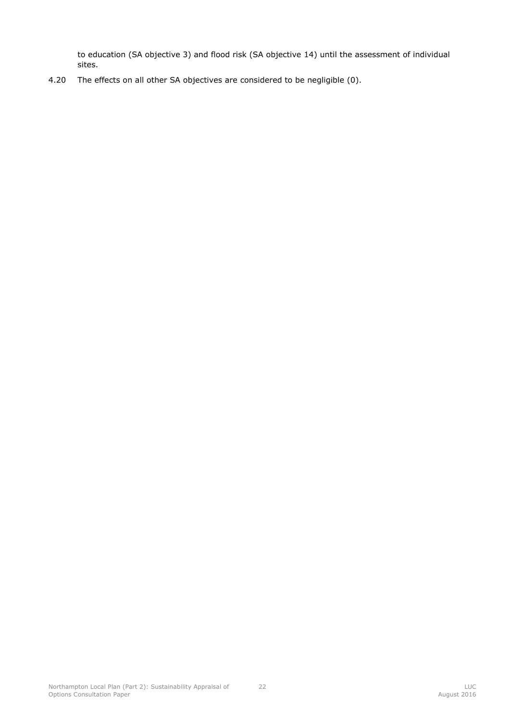to education (SA objective 3) and flood risk (SA objective 14) until the assessment of individual sites.

4.20 The effects on all other SA objectives are considered to be negligible (0).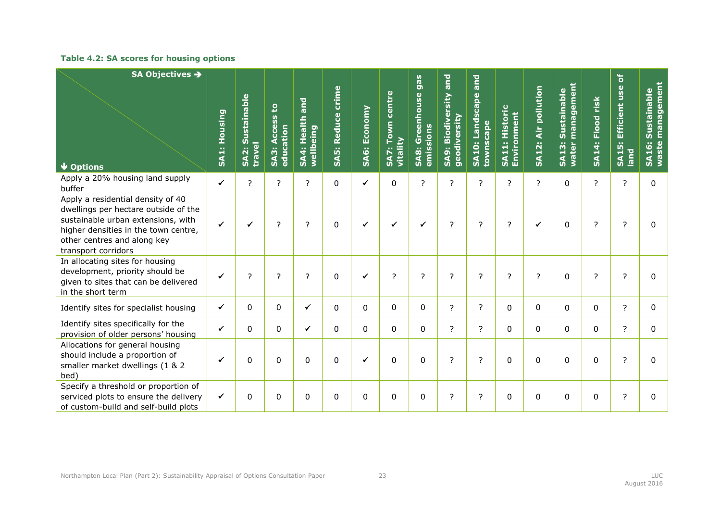### **Table 4.2: SA scores for housing options**

<span id="page-27-0"></span>

| SA Objectives →                                                                                                                                                                                               |              |                            | ខ                                  | and                                |                   |                     | centre                   | gas                                     | and                                              | and                              |                                         |                     | managemen<br>Sustainable |                  | Efficient use of           | management<br>Sustainable |
|---------------------------------------------------------------------------------------------------------------------------------------------------------------------------------------------------------------|--------------|----------------------------|------------------------------------|------------------------------------|-------------------|---------------------|--------------------------|-----------------------------------------|--------------------------------------------------|----------------------------------|-----------------------------------------|---------------------|--------------------------|------------------|----------------------------|---------------------------|
| $\sqrt{\frac{1}{10}}$ Options                                                                                                                                                                                 | SA1: Housing | SA2: Sustainable<br>travel | Access<br>education<br><b>SA3:</b> | Health<br>wellbeing<br><b>SA4:</b> | SA5: Reduce crime | <b>SAG: Economy</b> | Town<br>vitality<br>SA7: | <b>SA8: Greenhouse</b><br>sions<br>emis | Biodiversity<br>geodiversity<br>SA <sub>9:</sub> | SA10: Landscape<br>cape<br>towns | Historic<br>Environment<br><b>SA11:</b> | SA12: Air pollution | <b>SA13:</b><br>water    | SA14: Flood risk | <b>SA15:</b><br><b>bue</b> | <b>SA16:</b><br>waste     |
| Apply a 20% housing land supply<br>buffer                                                                                                                                                                     | $\checkmark$ | $\overline{?}$             | $\overline{?}$                     | $\overline{z}$                     | $\mathbf 0$       | $\checkmark$        | $\mathbf 0$              | $\overline{?}$                          | $\overline{?}$                                   | $\overline{?}$                   | $\overline{?}$                          | $\overline{?}$      | $\mathbf 0$              | $\overline{?}$   | $\overline{z}$             | $\Omega$                  |
| Apply a residential density of 40<br>dwellings per hectare outside of the<br>sustainable urban extensions, with<br>higher densities in the town centre,<br>other centres and along key<br>transport corridors | $\checkmark$ | ✓                          | $\overline{?}$                     | ?                                  | 0                 | ✓                   | ✔                        | ✔                                       | $\overline{?}$                                   | ?                                | ?                                       | $\checkmark$        | $\Omega$                 | ?                | $\overline{?}$             | $\Omega$                  |
| In allocating sites for housing<br>development, priority should be<br>given to sites that can be delivered<br>in the short term                                                                               | $\checkmark$ | ?                          | ?                                  | ?                                  | 0                 | ✓                   | $\overline{?}$           | ?                                       | ?                                                | ?                                | ?                                       | ?                   | $\mathbf 0$              | ?                | $\overline{?}$             | $\Omega$                  |
| Identify sites for specialist housing                                                                                                                                                                         | $\checkmark$ | $\mathbf{0}$               | 0                                  | $\checkmark$                       | $\Omega$          | $\Omega$            | $\mathbf{0}$             | $\mathbf{0}$                            | ?                                                | ?                                | $\mathbf{0}$                            | 0                   | $\mathbf{0}$             | 0                | ?                          | 0                         |
| Identify sites specifically for the<br>provision of older persons' housing                                                                                                                                    | $\checkmark$ | $\mathbf 0$                | $\mathbf 0$                        | $\checkmark$                       | $\mathbf 0$       | $\Omega$            | $\Omega$                 | $\Omega$                                | $\overline{?}$                                   | $\overline{?}$                   | $\Omega$                                | $\Omega$            | $\Omega$                 | 0                | $\overline{\phantom{a}}$   | $\Omega$                  |
| Allocations for general housing<br>should include a proportion of<br>smaller market dwellings (1 & 2<br>bed)                                                                                                  | $\checkmark$ | 0                          | $\mathbf{0}$                       | 0                                  | $\Omega$          | ✓                   | 0                        | 0                                       | ?                                                | ?                                | $\mathbf{0}$                            | 0                   | $\Omega$                 | 0                | ?                          | 0                         |
| Specify a threshold or proportion of<br>serviced plots to ensure the delivery<br>of custom-build and self-build plots                                                                                         | $\checkmark$ | 0                          | 0                                  | 0                                  | 0                 | $\mathbf{0}$        | 0                        | 0                                       | ?                                                | ?                                | $\mathbf{0}$                            | 0                   | $\mathbf 0$              | 0                | ?                          | 0                         |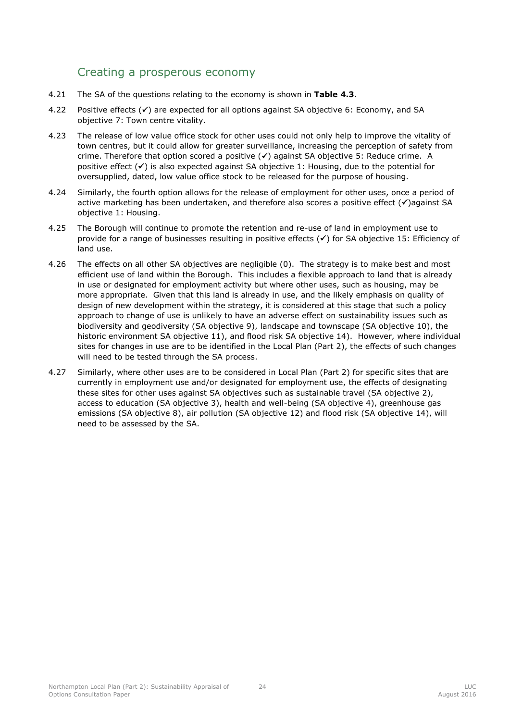## <span id="page-28-0"></span>Creating a prosperous economy

- 4.21 The SA of the questions relating to the economy is shown in **[Table 4.3](#page-29-0)**.
- 4.22 Positive effects  $(v)$  are expected for all options against SA objective 6: Economy, and SA objective 7: Town centre vitality.
- 4.23 The release of low value office stock for other uses could not only help to improve the vitality of town centres, but it could allow for greater surveillance, increasing the perception of safety from crime. Therefore that option scored a positive  $(\checkmark)$  against SA objective 5: Reduce crime. A positive effect  $(\checkmark)$  is also expected against SA objective 1: Housing, due to the potential for oversupplied, dated, low value office stock to be released for the purpose of housing.
- 4.24 Similarly, the fourth option allows for the release of employment for other uses, once a period of active marketing has been undertaken, and therefore also scores a positive effect  $(\checkmark)$ against SA objective 1: Housing.
- 4.25 The Borough will continue to promote the retention and re-use of land in employment use to provide for a range of businesses resulting in positive effects  $(\checkmark)$  for SA objective 15: Efficiency of land use.
- 4.26 The effects on all other SA objectives are negligible (0). The strategy is to make best and most efficient use of land within the Borough. This includes a flexible approach to land that is already in use or designated for employment activity but where other uses, such as housing, may be more appropriate. Given that this land is already in use, and the likely emphasis on quality of design of new development within the strategy, it is considered at this stage that such a policy approach to change of use is unlikely to have an adverse effect on sustainability issues such as biodiversity and geodiversity (SA objective 9), landscape and townscape (SA objective 10), the historic environment SA objective 11), and flood risk SA objective 14). However, where individual sites for changes in use are to be identified in the Local Plan (Part 2), the effects of such changes will need to be tested through the SA process.
- 4.27 Similarly, where other uses are to be considered in Local Plan (Part 2) for specific sites that are currently in employment use and/or designated for employment use, the effects of designating these sites for other uses against SA objectives such as sustainable travel (SA objective 2), access to education (SA objective 3), health and well-being (SA objective 4), greenhouse gas emissions (SA objective 8), air pollution (SA objective 12) and flood risk (SA objective 14), will need to be assessed by the SA.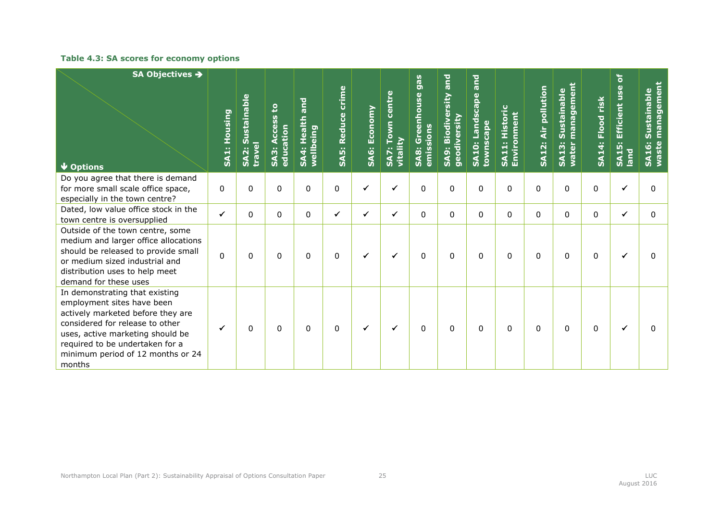### **Table 4.3: SA scores for economy options**

<span id="page-29-0"></span>

| SA Objectives →<br><b>V</b> Options                                                                                                                                                                                                                        | SA1: Housing | SA2: Sustainable<br><b>Linder</b> | ខ្<br><b>CCeSS</b><br>education<br>∢<br><b>SA3:</b> | <b>Dule</b><br>SA4: Health<br>wellbeing | SA5: Reduce crime | SA6: Economy | centre<br>Town<br>vitality<br>SA7: | SA8: Greenhouse gas<br>sions<br>emis | SA9: Biodiversity and<br>geodiversity | <b>Dule</b><br><b>SA10: Landscape</b><br>cape<br>towns | Historic<br>SA11: Historio<br>Environment | Air pollution<br><b>SA12:</b> | management<br>Sustainable<br>SA13:<br>water | SA14: Flood risk | Efficient use of<br><b>SA15:</b><br>Iand | management<br>Sustainable<br><b>SA16:</b><br>waste |
|------------------------------------------------------------------------------------------------------------------------------------------------------------------------------------------------------------------------------------------------------------|--------------|-----------------------------------|-----------------------------------------------------|-----------------------------------------|-------------------|--------------|------------------------------------|--------------------------------------|---------------------------------------|--------------------------------------------------------|-------------------------------------------|-------------------------------|---------------------------------------------|------------------|------------------------------------------|----------------------------------------------------|
| Do you agree that there is demand<br>for more small scale office space,<br>especially in the town centre?                                                                                                                                                  | 0            | 0                                 | $\mathbf{0}$                                        | 0                                       | 0                 | $\checkmark$ | $\checkmark$                       | 0                                    | 0                                     | 0                                                      | 0                                         | $\Omega$                      | 0                                           | 0                | $\checkmark$                             | 0                                                  |
| Dated, low value office stock in the<br>town centre is oversupplied                                                                                                                                                                                        | $\checkmark$ | $\Omega$                          | $\mathbf{0}$                                        | 0                                       | $\checkmark$      | ✔            | $\checkmark$                       | 0                                    | $\Omega$                              | $\Omega$                                               | $\Omega$                                  | $\Omega$                      | $\Omega$                                    | $\Omega$         | ✓                                        | 0                                                  |
| Outside of the town centre, some<br>medium and larger office allocations<br>should be released to provide small<br>or medium sized industrial and<br>distribution uses to help meet<br>demand for these uses                                               | $\mathbf 0$  | 0                                 | $\mathbf{0}$                                        | 0                                       | $\mathbf{0}$      | ✓            | $\checkmark$                       | 0                                    | $\Omega$                              | 0                                                      | $\Omega$                                  | 0                             | $\Omega$                                    | 0                | ✓                                        | 0                                                  |
| In demonstrating that existing<br>employment sites have been<br>actively marketed before they are<br>considered for release to other<br>uses, active marketing should be<br>required to be undertaken for a<br>minimum period of 12 months or 24<br>months | ✓            | 0                                 | $\mathbf{0}$                                        | 0                                       | 0                 | ✓            | ✓                                  | 0                                    | $\Omega$                              | 0                                                      | $\Omega$                                  | $\Omega$                      | $\Omega$                                    | 0                | ✓                                        | $\Omega$                                           |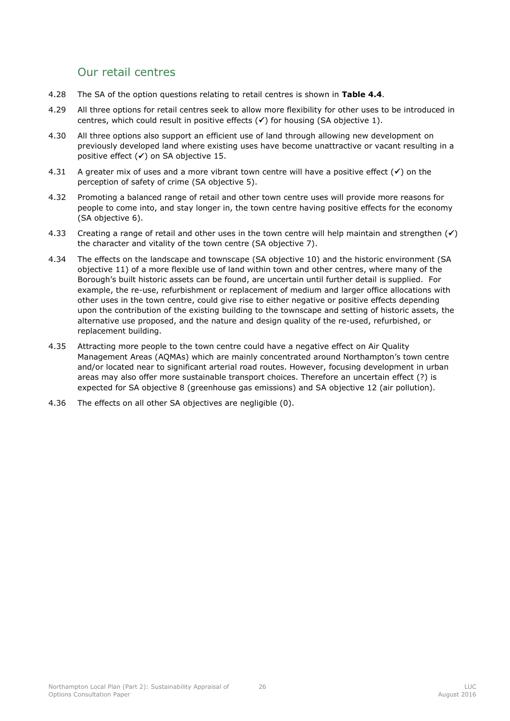## <span id="page-30-0"></span>Our retail centres

- 4.28 The SA of the option questions relating to retail centres is shown in **[Table 4.4](#page-31-0)**.
- 4.29 All three options for retail centres seek to allow more flexibility for other uses to be introduced in centres, which could result in positive effects  $(\checkmark)$  for housing (SA objective 1).
- 4.30 All three options also support an efficient use of land through allowing new development on previously developed land where existing uses have become unattractive or vacant resulting in a positive effect  $(\checkmark)$  on SA objective 15.
- 4.31 A greater mix of uses and a more vibrant town centre will have a positive effect  $(\checkmark)$  on the perception of safety of crime (SA objective 5).
- 4.32 Promoting a balanced range of retail and other town centre uses will provide more reasons for people to come into, and stay longer in, the town centre having positive effects for the economy (SA objective 6).
- 4.33 Creating a range of retail and other uses in the town centre will help maintain and strengthen  $(\checkmark)$ the character and vitality of the town centre (SA objective 7).
- 4.34 The effects on the landscape and townscape (SA objective 10) and the historic environment (SA objective 11) of a more flexible use of land within town and other centres, where many of the Borough's built historic assets can be found, are uncertain until further detail is supplied. For example, the re-use, refurbishment or replacement of medium and larger office allocations with other uses in the town centre, could give rise to either negative or positive effects depending upon the contribution of the existing building to the townscape and setting of historic assets, the alternative use proposed, and the nature and design quality of the re-used, refurbished, or replacement building.
- 4.35 Attracting more people to the town centre could have a negative effect on Air Quality Management Areas (AQMAs) which are mainly concentrated around Northampton's town centre and/or located near to significant arterial road routes. However, focusing development in urban areas may also offer more sustainable transport choices. Therefore an uncertain effect (?) is expected for SA objective 8 (greenhouse gas emissions) and SA objective 12 (air pollution).
- 4.36 The effects on all other SA objectives are negligible (0).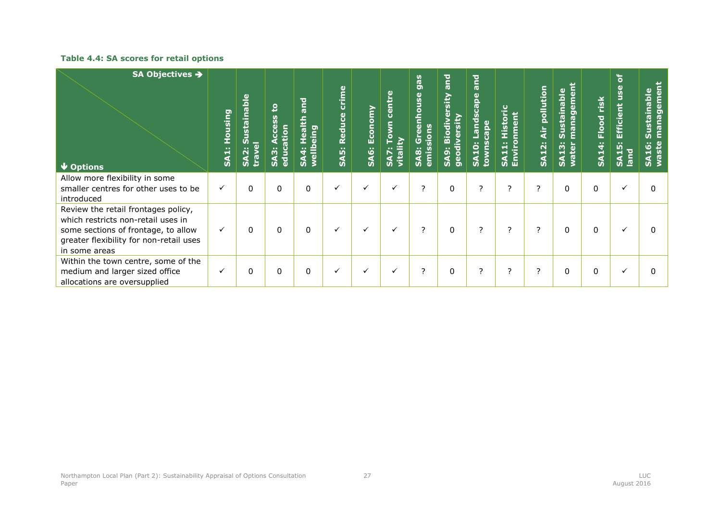### **Table 4.4: SA scores for retail options**

<span id="page-31-0"></span>

| SA Objectives →<br>$\blacktriangleright$ Options                                                                                                                             | Housing<br>SA <sub>1:</sub> | <b>Sustainable</b><br>travel<br><b>SA2:</b> | ខ<br><u>ທີ</u><br>$\overline{5}$<br>₿<br>SA3<br><b>u</b> | alth and<br>eing<br>Õ<br>wellbe<br>4<br>Š. | crime<br>Reduce<br><b>SA5:</b> | <b>SA6: Economy</b> | <b>Centre</b><br>DWN<br>vitali<br>↖<br>$\boldsymbol{\mathsf{s}}$ | gas<br>nhouse<br>ە<br>ھ<br>0<br>SA <sub>8</sub><br>Ë | <b>Due</b><br><b>Biodiversity</b><br>rsity<br>$\frac{5}{5}$<br>$\sim$<br><b>O</b><br><b>geo</b><br>$\tilde{\mathbf{z}}$ | <b>Due</b><br>scape<br>ä<br><b>SA10:</b><br><b>Non</b> | Ō<br>ū<br>ی<br>Hi<br>$\sim$<br>$\blacksquare$<br>Envir<br>ᆏ<br>≸ | Air pollutio<br><b>SA12:</b> | <b>Sustainable</b><br>managem<br>13<br>water<br>$\mathbf{S}$ | Flood risk<br><b>SA14:</b> | ិ<br>Efficient use<br><u>is:</u><br>land<br>$\frac{1}{2}$ | ā<br>Sustainable<br>ទី<br>ត<br>ה<br>ma<br>G<br>É<br><u>16:</u><br>waste<br>$\boldsymbol{\mathsf{s}}$ |
|------------------------------------------------------------------------------------------------------------------------------------------------------------------------------|-----------------------------|---------------------------------------------|----------------------------------------------------------|--------------------------------------------|--------------------------------|---------------------|------------------------------------------------------------------|------------------------------------------------------|-------------------------------------------------------------------------------------------------------------------------|--------------------------------------------------------|------------------------------------------------------------------|------------------------------|--------------------------------------------------------------|----------------------------|-----------------------------------------------------------|------------------------------------------------------------------------------------------------------|
| Allow more flexibility in some<br>smaller centres for other uses to be<br>introduced                                                                                         | $\checkmark$                | $\Omega$                                    | $\Omega$                                                 | $\Omega$                                   | $\checkmark$                   | ✓                   | $\checkmark$                                                     | 2                                                    | $\Omega$                                                                                                                | ?                                                      | ?                                                                | 2                            | $\Omega$                                                     | $\Omega$                   | ✓                                                         | 0                                                                                                    |
| Review the retail frontages policy,<br>which restricts non-retail uses in<br>some sections of frontage, to allow<br>greater flexibility for non-retail uses<br>in some areas | $\checkmark$                | $\Omega$                                    | $\Omega$                                                 | $\Omega$                                   | $\checkmark$                   |                     | $\checkmark$                                                     | 2                                                    | $\mathbf{0}$                                                                                                            | ?                                                      | ?                                                                | 2                            | $\mathbf{0}$                                                 | 0                          | $\checkmark$                                              |                                                                                                      |
| Within the town centre, some of the<br>medium and larger sized office<br>allocations are oversupplied                                                                        | $\checkmark$                | $\Omega$                                    | 0                                                        | 0                                          | $\checkmark$                   |                     | $\checkmark$                                                     | 2                                                    | 0                                                                                                                       | ?                                                      | ?                                                                | $\overline{\phantom{a}}$     | 0                                                            | 0                          | $\checkmark$                                              |                                                                                                      |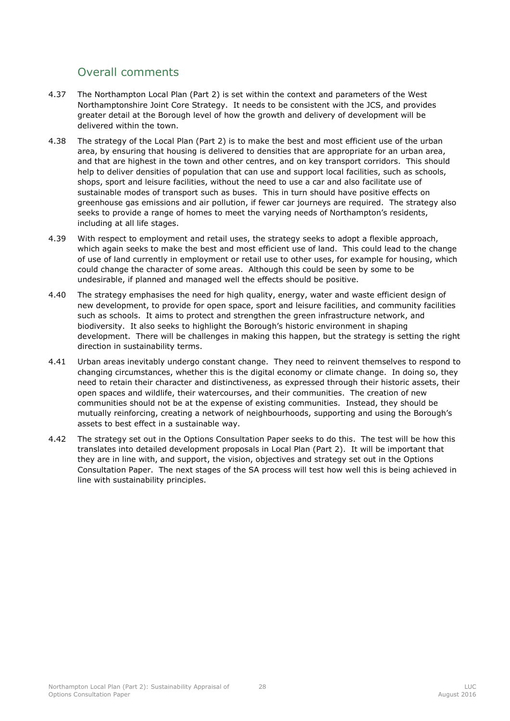## <span id="page-32-0"></span>Overall comments

- 4.37 The Northampton Local Plan (Part 2) is set within the context and parameters of the West Northamptonshire Joint Core Strategy. It needs to be consistent with the JCS, and provides greater detail at the Borough level of how the growth and delivery of development will be delivered within the town.
- 4.38 The strategy of the Local Plan (Part 2) is to make the best and most efficient use of the urban area, by ensuring that housing is delivered to densities that are appropriate for an urban area, and that are highest in the town and other centres, and on key transport corridors. This should help to deliver densities of population that can use and support local facilities, such as schools, shops, sport and leisure facilities, without the need to use a car and also facilitate use of sustainable modes of transport such as buses. This in turn should have positive effects on greenhouse gas emissions and air pollution, if fewer car journeys are required. The strategy also seeks to provide a range of homes to meet the varying needs of Northampton's residents, including at all life stages.
- 4.39 With respect to employment and retail uses, the strategy seeks to adopt a flexible approach, which again seeks to make the best and most efficient use of land. This could lead to the change of use of land currently in employment or retail use to other uses, for example for housing, which could change the character of some areas. Although this could be seen by some to be undesirable, if planned and managed well the effects should be positive.
- 4.40 The strategy emphasises the need for high quality, energy, water and waste efficient design of new development, to provide for open space, sport and leisure facilities, and community facilities such as schools. It aims to protect and strengthen the green infrastructure network, and biodiversity. It also seeks to highlight the Borough's historic environment in shaping development. There will be challenges in making this happen, but the strategy is setting the right direction in sustainability terms.
- 4.41 Urban areas inevitably undergo constant change. They need to reinvent themselves to respond to changing circumstances, whether this is the digital economy or climate change. In doing so, they need to retain their character and distinctiveness, as expressed through their historic assets, their open spaces and wildlife, their watercourses, and their communities. The creation of new communities should not be at the expense of existing communities. Instead, they should be mutually reinforcing, creating a network of neighbourhoods, supporting and using the Borough's assets to best effect in a sustainable way.
- 4.42 The strategy set out in the Options Consultation Paper seeks to do this. The test will be how this translates into detailed development proposals in Local Plan (Part 2). It will be important that they are in line with, and support, the vision, objectives and strategy set out in the Options Consultation Paper. The next stages of the SA process will test how well this is being achieved in line with sustainability principles.